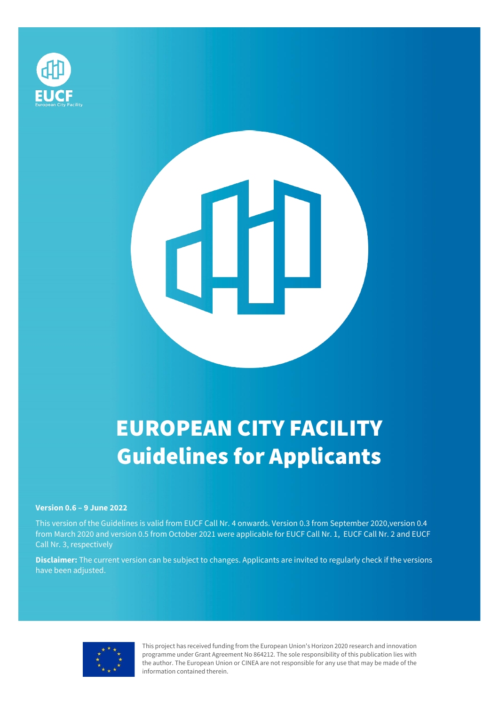

# EUROPEAN CITY FACILITY Guidelines for Applicants

┛

#### **Version 0.6 – 9 June 2022**

This version of the Guidelines is valid from EUCF Call Nr. 4 onwards. Version 0.3 from September 2020,version 0.4 from March 2020 and version 0.5 from October 2021 were applicable for EUCF Call Nr. 1, EUCF Call Nr. 2 and EUCF Call Nr. 3, respectively

**Disclaimer:** The current version can be subject to changes. Applicants are invited to regularly check if the versions have been adjusted.



This project has received funding from the European Union's Horizon 2020 research and innovation programme under Grant Agreement No 864212. The sole responsibility of this publication lies with the author. The European Union or CINEA are not responsible for any use that may be made of the information contained therein.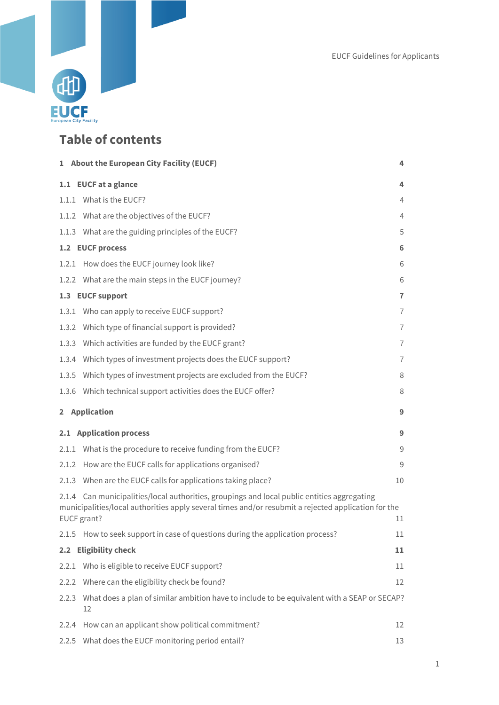

## **Table of contents**

|       | 1 About the European City Facility (EUCF)                                                                                                                                                                         | 4              |
|-------|-------------------------------------------------------------------------------------------------------------------------------------------------------------------------------------------------------------------|----------------|
|       | 1.1 EUCF at a glance                                                                                                                                                                                              | 4              |
|       | 1.1.1 What is the EUCF?                                                                                                                                                                                           | 4              |
|       | 1.1.2 What are the objectives of the EUCF?                                                                                                                                                                        | 4              |
|       | 1.1.3 What are the guiding principles of the EUCF?                                                                                                                                                                | 5              |
|       | 1.2 EUCF process                                                                                                                                                                                                  | 6              |
|       | 1.2.1 How does the EUCF journey look like?                                                                                                                                                                        | 6              |
|       | 1.2.2 What are the main steps in the EUCF journey?                                                                                                                                                                | 6              |
|       | 1.3 EUCF support                                                                                                                                                                                                  | $\overline{1}$ |
| 1.3.1 | Who can apply to receive EUCF support?                                                                                                                                                                            | $\overline{7}$ |
|       | 1.3.2 Which type of financial support is provided?                                                                                                                                                                | $\overline{1}$ |
|       | 1.3.3 Which activities are funded by the EUCF grant?                                                                                                                                                              | 7              |
| 1.3.4 | Which types of investment projects does the EUCF support?                                                                                                                                                         | $\overline{1}$ |
|       | 1.3.5 Which types of investment projects are excluded from the EUCF?                                                                                                                                              | 8              |
| 1.3.6 | Which technical support activities does the EUCF offer?                                                                                                                                                           | 8              |
|       | 2 Application                                                                                                                                                                                                     | 9              |
|       | 2.1 Application process                                                                                                                                                                                           | 9              |
|       | 2.1.1 What is the procedure to receive funding from the EUCF?                                                                                                                                                     | 9              |
|       | 2.1.2 How are the EUCF calls for applications organised?                                                                                                                                                          | 9              |
|       | 2.1.3 When are the EUCF calls for applications taking place?                                                                                                                                                      | 10             |
|       | 2.1.4 Can municipalities/local authorities, groupings and local public entities aggregating<br>municipalities/local authorities apply several times and/or resubmit a rejected application for the<br>EUCF grant? | 11             |
|       | 2.1.5 How to seek support in case of questions during the application process?                                                                                                                                    | $11\,$         |
|       | 2.2 Eligibility check                                                                                                                                                                                             | 11             |
| 2.2.1 | Who is eligible to receive EUCF support?                                                                                                                                                                          | 11             |
| 2.2.2 | Where can the eligibility check be found?                                                                                                                                                                         | 12             |
| 2.2.3 | What does a plan of similar ambition have to include to be equivalent with a SEAP or SECAP?<br>12                                                                                                                 |                |
| 2.2.4 | How can an applicant show political commitment?                                                                                                                                                                   | 12             |
| 2.2.5 | What does the EUCF monitoring period entail?                                                                                                                                                                      | 13             |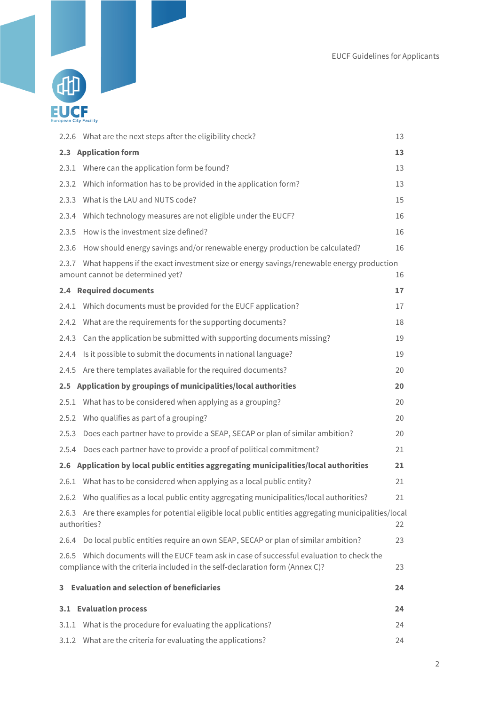

|       | 2.2.6 What are the next steps after the eligibility check?                                                                                                                  | 13 |  |
|-------|-----------------------------------------------------------------------------------------------------------------------------------------------------------------------------|----|--|
|       | 2.3 Application form                                                                                                                                                        | 13 |  |
|       | 2.3.1 Where can the application form be found?                                                                                                                              | 13 |  |
| 2.3.2 | Which information has to be provided in the application form?                                                                                                               | 13 |  |
|       | 2.3.3 What is the LAU and NUTS code?                                                                                                                                        | 15 |  |
|       | 2.3.4 Which technology measures are not eligible under the EUCF?                                                                                                            | 16 |  |
|       | 2.3.5 How is the investment size defined?                                                                                                                                   | 16 |  |
|       | 2.3.6 How should energy savings and/or renewable energy production be calculated?                                                                                           | 16 |  |
|       | 2.3.7 What happens if the exact investment size or energy savings/renewable energy production<br>amount cannot be determined yet?                                           | 16 |  |
|       | 2.4 Required documents                                                                                                                                                      | 17 |  |
|       | 2.4.1 Which documents must be provided for the EUCF application?                                                                                                            | 17 |  |
|       | 2.4.2 What are the requirements for the supporting documents?                                                                                                               | 18 |  |
|       | 2.4.3 Can the application be submitted with supporting documents missing?                                                                                                   | 19 |  |
| 2.4.4 | Is it possible to submit the documents in national language?                                                                                                                | 19 |  |
|       | 2.4.5 Are there templates available for the required documents?                                                                                                             | 20 |  |
|       | 2.5 Application by groupings of municipalities/local authorities                                                                                                            | 20 |  |
|       | 2.5.1 What has to be considered when applying as a grouping?                                                                                                                | 20 |  |
|       | 2.5.2 Who qualifies as part of a grouping?                                                                                                                                  | 20 |  |
| 2.5.3 | Does each partner have to provide a SEAP, SECAP or plan of similar ambition?                                                                                                | 20 |  |
|       | 2.5.4 Does each partner have to provide a proof of political commitment?                                                                                                    | 21 |  |
|       | 2.6 Application by local public entities aggregating municipalities/local authorities                                                                                       | 21 |  |
|       | 2.6.1 What has to be considered when applying as a local public entity?                                                                                                     | 21 |  |
|       | 2.6.2 Who qualifies as a local public entity aggregating municipalities/local authorities?                                                                                  | 21 |  |
|       | 2.6.3 Are there examples for potential eligible local public entities aggregating municipalities/local<br>authorities?<br>22                                                |    |  |
| 2.6.4 | Do local public entities require an own SEAP, SECAP or plan of similar ambition?                                                                                            | 23 |  |
|       | 2.6.5 Which documents will the EUCF team ask in case of successful evaluation to check the<br>compliance with the criteria included in the self-declaration form (Annex C)? | 23 |  |
| 3.    | <b>Evaluation and selection of beneficiaries</b>                                                                                                                            | 24 |  |
|       | 3.1 Evaluation process                                                                                                                                                      | 24 |  |
|       | 3.1.1 What is the procedure for evaluating the applications?                                                                                                                | 24 |  |
| 3.1.2 | What are the criteria for evaluating the applications?                                                                                                                      | 24 |  |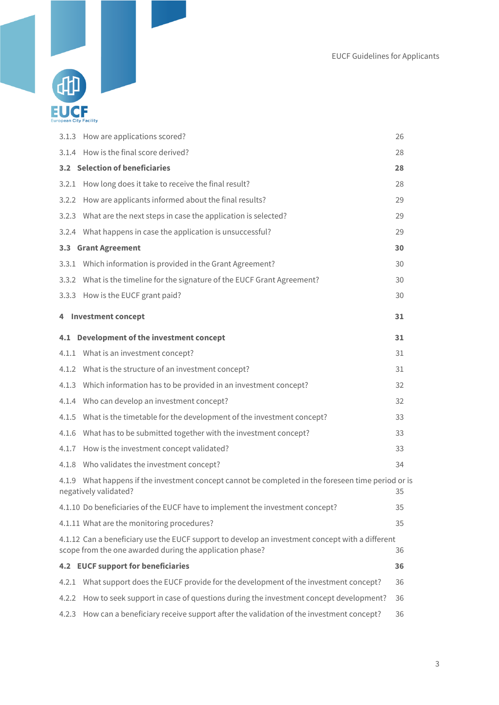

|       | 3.1.3 How are applications scored?                                                                                                                          | 26 |
|-------|-------------------------------------------------------------------------------------------------------------------------------------------------------------|----|
|       | 3.1.4 How is the final score derived?                                                                                                                       | 28 |
|       | 3.2 Selection of beneficiaries                                                                                                                              | 28 |
|       | 3.2.1 How long does it take to receive the final result?                                                                                                    | 28 |
|       | 3.2.2 How are applicants informed about the final results?                                                                                                  | 29 |
|       | 3.2.3 What are the next steps in case the application is selected?                                                                                          | 29 |
|       | 3.2.4 What happens in case the application is unsuccessful?                                                                                                 | 29 |
|       | 3.3 Grant Agreement                                                                                                                                         | 30 |
|       | 3.3.1 Which information is provided in the Grant Agreement?                                                                                                 | 30 |
|       | 3.3.2 What is the timeline for the signature of the EUCF Grant Agreement?                                                                                   | 30 |
|       | 3.3.3 How is the EUCF grant paid?                                                                                                                           | 30 |
|       | 4 Investment concept                                                                                                                                        | 31 |
|       | 4.1 Development of the investment concept                                                                                                                   | 31 |
|       | 4.1.1 What is an investment concept?                                                                                                                        | 31 |
|       | 4.1.2 What is the structure of an investment concept?                                                                                                       | 31 |
|       | 4.1.3 Which information has to be provided in an investment concept?                                                                                        | 32 |
|       | 4.1.4 Who can develop an investment concept?                                                                                                                | 32 |
|       | 4.1.5 What is the timetable for the development of the investment concept?                                                                                  | 33 |
|       | 4.1.6 What has to be submitted together with the investment concept?                                                                                        | 33 |
|       | 4.1.7 How is the investment concept validated?                                                                                                              | 33 |
|       | 4.1.8 Who validates the investment concept?                                                                                                                 | 34 |
|       | 4.1.9 What happens if the investment concept cannot be completed in the foreseen time period or is<br>negatively validated?                                 | 35 |
|       | 4.1.10 Do beneficiaries of the EUCF have to implement the investment concept?                                                                               | 35 |
|       | 4.1.11 What are the monitoring procedures?                                                                                                                  | 35 |
|       | 4.1.12 Can a beneficiary use the EUCF support to develop an investment concept with a different<br>scope from the one awarded during the application phase? | 36 |
|       | 4.2 EUCF support for beneficiaries                                                                                                                          | 36 |
|       | 4.2.1 What support does the EUCF provide for the development of the investment concept?                                                                     | 36 |
| 4.2.2 | How to seek support in case of questions during the investment concept development?                                                                         | 36 |
| 4.2.3 | How can a beneficiary receive support after the validation of the investment concept?                                                                       | 36 |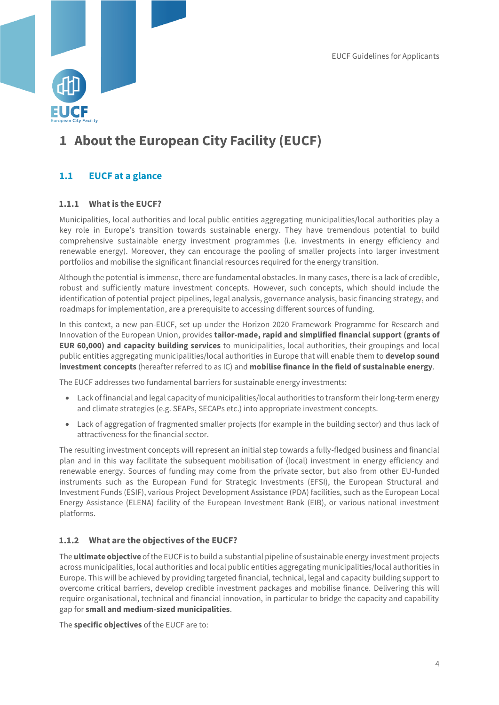

## <span id="page-4-0"></span>**1 About the European City Facility (EUCF)**

## <span id="page-4-1"></span>**1.1 EUCF at a glance**

## <span id="page-4-2"></span>**1.1.1 What is the EUCF?**

Municipalities, local authorities and local public entities aggregating municipalities/local authorities play a key role in Europe's transition towards sustainable energy. They have tremendous potential to build comprehensive sustainable energy investment programmes (i.e. investments in energy efficiency and renewable energy). Moreover, they can encourage the pooling of smaller projects into larger investment portfolios and mobilise the significant financial resources required for the energy transition.

Although the potential is immense, there are fundamental obstacles. In many cases, there is a lack of credible, robust and sufficiently mature investment concepts. However, such concepts, which should include the identification of potential project pipelines, legal analysis, governance analysis, basic financing strategy, and roadmaps for implementation, are a prerequisite to accessing different sources of funding.

In this context, a new pan-EUCF, set up under the Horizon 2020 Framework Programme for Research and Innovation of the European Union, provides **tailor-made, rapid and simplified financial support (grants of EUR 60,000) and capacity building services** to municipalities, local authorities, their groupings and local public entities aggregating municipalities/local authorities in Europe that will enable them to **develop sound investment concepts** (hereafter referred to as IC) and **mobilise finance in the field of sustainable energy**.

The EUCF addresses two fundamental barriers for sustainable energy investments:

- Lack of financial and legal capacity of municipalities/local authorities to transform their long-term energy and climate strategies (e.g. SEAPs, SECAPs etc.) into appropriate investment concepts.
- Lack of aggregation of fragmented smaller projects (for example in the building sector) and thus lack of attractiveness for the financial sector.

The resulting investment concepts will represent an initial step towards a fully-fledged business and financial plan and in this way facilitate the subsequent mobilisation of (local) investment in energy efficiency and renewable energy. Sources of funding may come from the private sector, but also from other EU-funded instruments such as the European Fund for Strategic Investments (EFSI), the European Structural and Investment Funds (ESIF), various Project Development Assistance (PDA) facilities, such as the European Local Energy Assistance (ELENA) facility of the European Investment Bank (EIB), or various national investment platforms.

## <span id="page-4-3"></span>**1.1.2 What are the objectives of the EUCF?**

The **ultimate objective** of the EUCF is to build a substantial pipeline of sustainable energy investment projects across municipalities, local authorities and local public entities aggregating municipalities/local authorities in Europe. This will be achieved by providing targeted financial, technical, legal and capacity building support to overcome critical barriers, develop credible investment packages and mobilise finance. Delivering this will require organisational, technical and financial innovation, in particular to bridge the capacity and capability gap for **small and medium-sized municipalities**.

The **specific objectives** of the EUCF are to: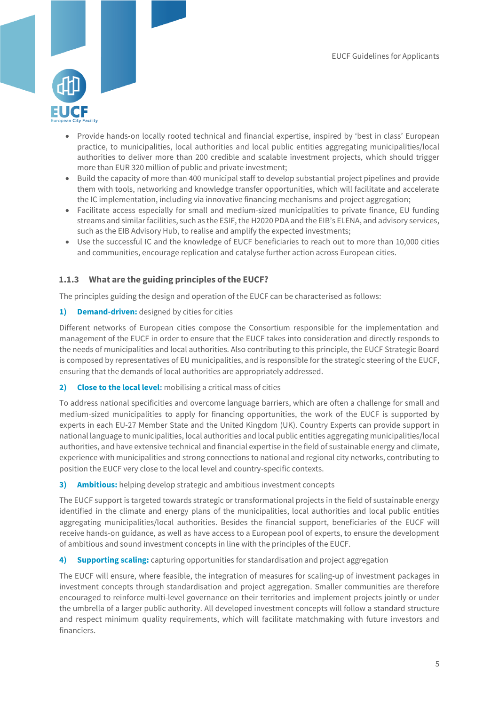

- Provide hands-on locally rooted technical and financial expertise, inspired by 'best in class' European practice, to municipalities, local authorities and local public entities aggregating municipalities/local authorities to deliver more than 200 credible and scalable investment projects, which should trigger more than EUR 320 million of public and private investment;
- Build the capacity of more than 400 municipal staff to develop substantial project pipelines and provide them with tools, networking and knowledge transfer opportunities, which will facilitate and accelerate the IC implementation, including via innovative financing mechanisms and project aggregation;
- Facilitate access especially for small and medium-sized municipalities to private finance, EU funding streams and similar facilities, such as the ESIF, the H2020 PDA and the EIB's ELENA, and advisory services, such as the EIB Advisory Hub, to realise and amplify the expected investments;
- Use the successful IC and the knowledge of EUCF beneficiaries to reach out to more than 10,000 cities and communities, encourage replication and catalyse further action across European cities.

## <span id="page-5-0"></span>**1.1.3 What are the guiding principles of the EUCF?**

The principles guiding the design and operation of the EUCF can be characterised as follows:

#### **1) Demand-driven:** designed by cities for cities

Different networks of European cities compose the Consortium responsible for the implementation and management of the EUCF in order to ensure that the EUCF takes into consideration and directly responds to the needs of municipalities and local authorities. Also contributing to this principle, the EUCF Strategic Board is composed by representatives of EU municipalities, and is responsible for the strategic steering of the EUCF, ensuring that the demands of local authorities are appropriately addressed.

#### **2) Close to the local level:** mobilising a critical mass of cities

To address national specificities and overcome language barriers, which are often a challenge for small and medium-sized municipalities to apply for financing opportunities, the work of the EUCF is supported by experts in each EU-27 Member State and the United Kingdom (UK). Country Experts can provide support in national language to municipalities, local authorities and local public entities aggregating municipalities/local authorities, and have extensive technical and financial expertise in the field of sustainable energy and climate, experience with municipalities and strong connections to national and regional city networks, contributing to position the EUCF very close to the local level and country-specific contexts.

#### **3) Ambitious:** helping develop strategic and ambitious investment concepts

The EUCF support is targeted towards strategic or transformational projects in the field of sustainable energy identified in the climate and energy plans of the municipalities, local authorities and local public entities aggregating municipalities/local authorities. Besides the financial support, beneficiaries of the EUCF will receive hands-on guidance, as well as have access to a European pool of experts, to ensure the development of ambitious and sound investment concepts in line with the principles of the EUCF.

#### **4) Supporting scaling:** capturing opportunities for standardisation and project aggregation

The EUCF will ensure, where feasible, the integration of measures for scaling-up of investment packages in investment concepts through standardisation and project aggregation. Smaller communities are therefore encouraged to reinforce multi-level governance on their territories and implement projects jointly or under the umbrella of a larger public authority. All developed investment concepts will follow a standard structure and respect minimum quality requirements, which will facilitate matchmaking with future investors and financiers.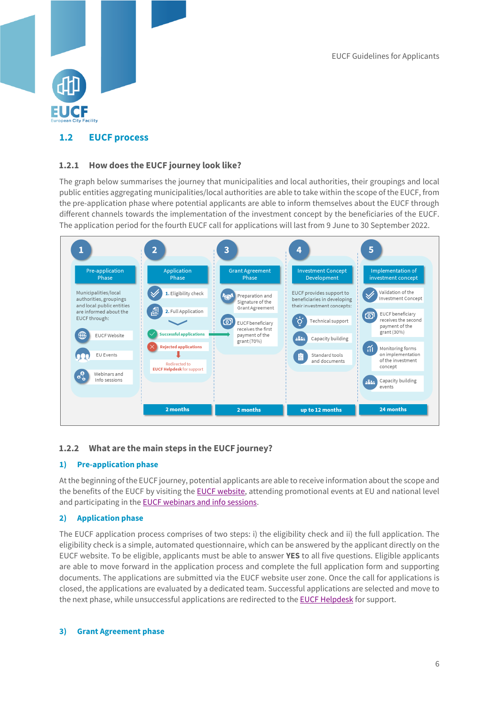

## <span id="page-6-0"></span>**1.2 EUCF process**

### <span id="page-6-1"></span>**1.2.1 How does the EUCF journey look like?**

The graph below summarises the journey that municipalities and local authorities, their groupings and local public entities aggregating municipalities/local authorities are able to take within the scope of the EUCF, from the pre-application phase where potential applicants are able to inform themselves about the EUCF through different channels towards the implementation of the investment concept by the beneficiaries of the EUCF. The application period for the fourth EUCF call for applications will last from 9 June to 30 September 2022.



## <span id="page-6-2"></span>**1.2.2 What are the main steps in the EUCF journey?**

#### **1) Pre-application phase**

At the beginning of the EUCF journey, potential applicants are able to receive information about the scope and the benefits of the EUCF by visiting the [EUCF website,](https://eucityfacility.eu/home.html) attending promotional events at EU and national level and participating in the EUCF [webinars and info sessions.](https://www.eucityfacility.eu/news-events/events.html)

#### **2) Application phase**

The EUCF application process comprises of two steps: i) the eligibility check and ii) the full application. The eligibility check is a simple, automated questionnaire, which can be answered by the applicant directly on the EUCF website. To be eligible, applicants must be able to answer **YES** to all five questions. Eligible applicants are able to move forward in the application process and complete the full application form and supporting documents. The applications are submitted via the EUCF website user zone. Once the call for applications is closed, the applications are evaluated by a dedicated team. Successful applications are selected and move to the next phase, while unsuccessful applications are redirected to the **EUCF Helpdesk** for support.

#### **3) Grant Agreement phase**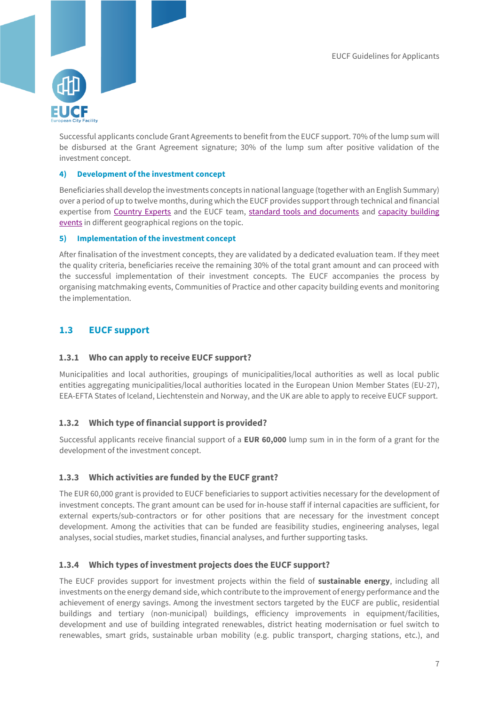

Successful applicants conclude Grant Agreements to benefit from the EUCF support. 70% of the lump sum will be disbursed at the Grant Agreement signature; 30% of the lump sum after positive validation of the investment concept.

#### **4) Development of the investment concept**

Beneficiaries shall develop the investments concepts in national language (together with an English Summary) over a period of up to twelve months, during which the EUCF provides support through technical and financial expertise from [Country Experts](https://www.eucityfacility.eu/support/technical-support.html) and the EUCF team, [standard tools and documents](https://www.eucityfacility.eu/investment-concepts/investment-concept-template.html) and [capacity building](https://www.eucityfacility.eu/news-events/events.html)  [events](https://www.eucityfacility.eu/news-events/events.html) in different geographical regions on the topic.

#### **5) Implementation of the investment concept**

After finalisation of the investment concepts, they are validated by a dedicated evaluation team. If they meet the quality criteria, beneficiaries receive the remaining 30% of the total grant amount and can proceed with the successful implementation of their investment concepts. The EUCF accompanies the process by organising matchmaking events, Communities of Practice and other capacity building events and monitoring the implementation.

## <span id="page-7-0"></span>**1.3 EUCF support**

#### <span id="page-7-1"></span>**1.3.1 Who can apply to receive EUCF support?**

Municipalities and local authorities, groupings of municipalities/local authorities as well as local public entities aggregating municipalities/local authorities located in the European Union Member States (EU-27), EEA-EFTA States of Iceland, Liechtenstein and Norway, and the UK are able to apply to receive EUCF support.

#### <span id="page-7-2"></span>**1.3.2 Which type of financial support is provided?**

Successful applicants receive financial support of a **EUR 60,000** lump sum in in the form of a grant for the development of the investment concept.

#### <span id="page-7-3"></span>**1.3.3 Which activities are funded by the EUCF grant?**

The EUR 60,000 grant is provided to EUCF beneficiaries to support activities necessary for the development of investment concepts. The grant amount can be used for in-house staff if internal capacities are sufficient, for external experts/sub-contractors or for other positions that are necessary for the investment concept development. Among the activities that can be funded are feasibility studies, engineering analyses, legal analyses, social studies, market studies, financial analyses, and further supporting tasks.

#### <span id="page-7-4"></span>**1.3.4 Which types of investment projects does the EUCF support?**

The EUCF provides support for investment projects within the field of **sustainable energy**, including all investments on the energy demand side, which contribute to the improvement of energy performance and the achievement of energy savings. Among the investment sectors targeted by the EUCF are public, residential buildings and tertiary (non-municipal) buildings, efficiency improvements in equipment/facilities, development and use of building integrated renewables, district heating modernisation or fuel switch to renewables, smart grids, sustainable urban mobility (e.g. public transport, charging stations, etc.), and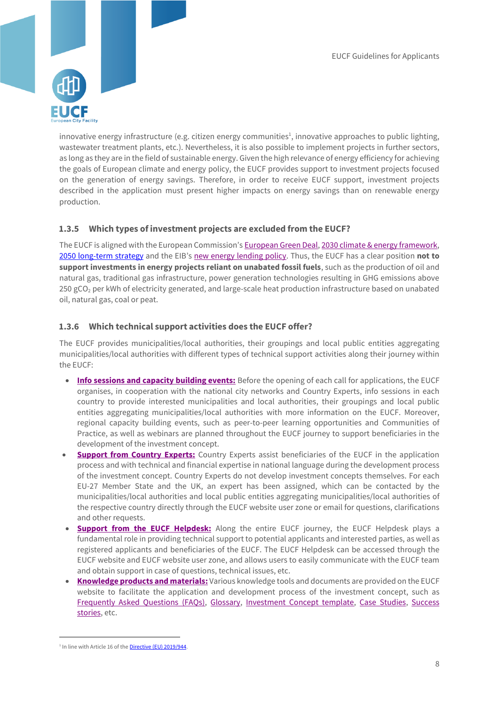

innovative energy infrastructure (e.g. citizen energy communities<sup>1</sup>, innovative approaches to public lighting, wastewater treatment plants, etc.). Nevertheless, it is also possible to implement projects in further sectors, as long as they are in the field of sustainable energy. Given the high relevance of energy efficiency for achieving the goals of European climate and energy policy, the EUCF provides support to investment projects focused on the generation of energy savings. Therefore, in order to receive EUCF support, investment projects described in the application must present higher impacts on energy savings than on renewable energy production.

### <span id="page-8-0"></span>**1.3.5 Which types of investment projects are excluded from the EUCF?**

The EUCF is aligned with the European Commission's [European Green Deal,](https://ec.europa.eu/clima/policies/eu-climate-action/) [2030 climate & energy framework,](https://ec.europa.eu/clima/policies/strategies/2030_en) [2050 long-term strategy](https://ec.europa.eu/clima/policies/strategies/2050_en) and the EIB's [new energy lending policy.](https://www.eib.org/en/publications/eib-energy-lending-policy.htm) Thus, the EUCF has a clear position **not to support investments in energy projects reliant on unabated fossil fuels**, such as the production of oil and natural gas, traditional gas infrastructure, power generation technologies resulting in GHG emissions above 250 gCO<sub>2</sub> per kWh of electricity generated, and large-scale heat production infrastructure based on unabated oil, natural gas, coal or peat.

#### <span id="page-8-1"></span>**1.3.6 Which technical support activities does the EUCF offer?**

The EUCF provides municipalities/local authorities, their groupings and local public entities aggregating municipalities/local authorities with different types of technical support activities along their journey within the EUCF:

- **[Info sessions and capacity building events:](https://www.eucityfacility.eu/news-events/events.html)** Before the opening of each call for applications, the EUCF organises, in cooperation with the national city networks and Country Experts, info sessions in each country to provide interested municipalities and local authorities, their groupings and local public entities aggregating municipalities/local authorities with more information on the EUCF. Moreover, regional capacity building events, such as peer-to-peer learning opportunities and Communities of Practice, as well as webinars are planned throughout the EUCF journey to support beneficiaries in the development of the investment concept.
- **[Support from Country Experts:](https://www.eucityfacility.eu/support/technical-support.html)** Country Experts assist beneficiaries of the EUCF in the application process and with technical and financial expertise in national language during the development process of the investment concept. Country Experts do not develop investment concepts themselves. For each EU-27 Member State and the UK, an expert has been assigned, which can be contacted by the municipalities/local authorities and local public entities aggregating municipalities/local authorities of the respective country directly through the EUCF website user zone or email for questions, clarifications and other requests.
- **[Support from the EUCF Helpdesk:](https://www.eucityfacility.eu/support/helpdesk.html)** Along the entire EUCF journey, the EUCF Helpdesk plays a fundamental role in providing technical support to potential applicants and interested parties, as well as registered applicants and beneficiaries of the EUCF. The EUCF Helpdesk can be accessed through the EUCF website and EUCF website user zone, and allows users to easily communicate with the EUCF team and obtain support in case of questions, technical issues, etc.
- **[Knowledge products and materials:](https://www.eucityfacility.eu/support/knowledge-hub.html)** Various knowledge tools and documents are provided on th[e EUCF](https://eucityfacility.eu/home.html)  [website](https://eucityfacility.eu/home.html) to facilitate the application and development process of the investment concept, such as [Frequently Asked Questions \(FAQs\),](https://www.eucityfacility.eu/support/faqs-test.html) [Glossary,](https://www.eucityfacility.eu/support/knowledge-hub.html) [Investment Concept template,](https://www.eucityfacility.eu/investment-concepts/investment-concept-template.html) [Case Studies,](https://www.eucityfacility.eu/support/knowledge-hub.html) [Success](https://www.eucityfacility.eu/investment-concepts/success-stories.html)  [stories,](https://www.eucityfacility.eu/investment-concepts/success-stories.html) etc.

-

<sup>&</sup>lt;sup>1</sup> In line with Article 16 of the **Directive (EU) 2019/944**.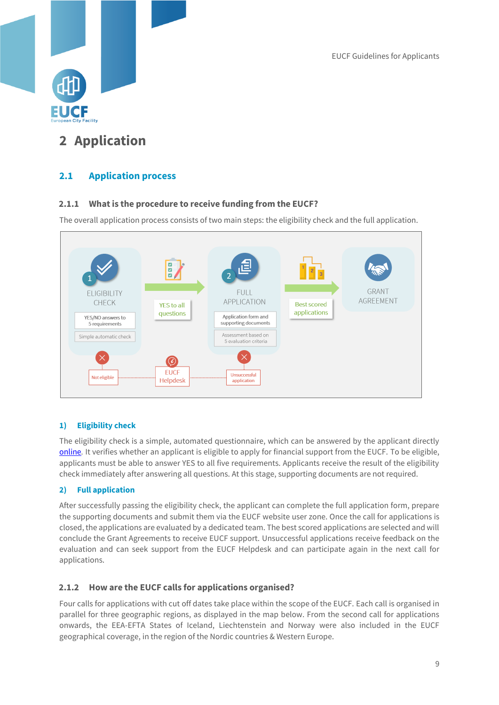

## <span id="page-9-0"></span>**2 Application**

## <span id="page-9-1"></span>**2.1 Application process**

## <span id="page-9-2"></span>**2.1.1 What is the procedure to receive funding from the EUCF?**

The overall application process consists of two main steps: the eligibility check and the full application.



## **1) Eligibility check**

The eligibility check is a simple, automated questionnaire, which can be answered by the applicant directly [online](https://www.eucityfacility.eu/calls/online-application.html)*.* It verifies whether an applicant is eligible to apply for financial support from the EUCF. To be eligible, applicants must be able to answer YES to all five requirements. Applicants receive the result of the eligibility check immediately after answering all questions. At this stage, supporting documents are not required.

## **2) Full application**

After successfully passing the eligibility check, the applicant can complete the full application form, prepare the supporting documents and submit them via the EUCF website user zone. Once the call for applications is closed, the applications are evaluated by a dedicated team. The best scored applications are selected and will conclude the Grant Agreements to receive EUCF support. Unsuccessful applications receive feedback on the evaluation and can seek support from the EUCF Helpdesk and can participate again in the next call for applications.

## <span id="page-9-3"></span>**2.1.2 How are the EUCF calls for applications organised?**

Four calls for applications with cut off dates take place within the scope of the EUCF. Each call is organised in parallel for three geographic regions, as displayed in the map below. From the second call for applications onwards, the EEA-EFTA States of Iceland, Liechtenstein and Norway were also included in the EUCF geographical coverage, in the region of the Nordic countries & Western Europe.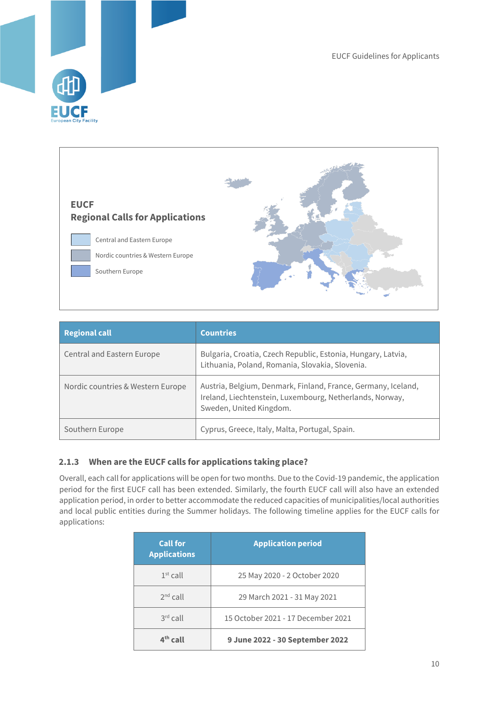



| <b>Regional call</b>              | <b>Countries</b>                                                                                                                                     |
|-----------------------------------|------------------------------------------------------------------------------------------------------------------------------------------------------|
| Central and Eastern Europe        | Bulgaria, Croatia, Czech Republic, Estonia, Hungary, Latvia,<br>Lithuania, Poland, Romania, Slovakia, Slovenia.                                      |
| Nordic countries & Western Europe | Austria, Belgium, Denmark, Finland, France, Germany, Iceland,<br>Ireland, Liechtenstein, Luxembourg, Netherlands, Norway,<br>Sweden, United Kingdom. |
| Southern Europe                   | Cyprus, Greece, Italy, Malta, Portugal, Spain.                                                                                                       |

## <span id="page-10-0"></span>**2.1.3 When are the EUCF calls for applications taking place?**

Overall, each call for applications will be open for two months. Due to the Covid-19 pandemic, the application period for the first EUCF call has been extended. Similarly, the fourth EUCF call will also have an extended application period, in order to better accommodate the reduced capacities of municipalities/local authorities and local public entities during the Summer holidays. The following timeline applies for the EUCF calls for applications:

| <b>Call for</b><br><b>Applications</b> | <b>Application period</b>          |
|----------------------------------------|------------------------------------|
| $1st$ call                             | 25 May 2020 - 2 October 2020       |
| $2nd$ call                             | 29 March 2021 - 31 May 2021        |
| $3rd$ call                             | 15 October 2021 - 17 December 2021 |
| $4th$ call                             | 9 June 2022 - 30 September 2022    |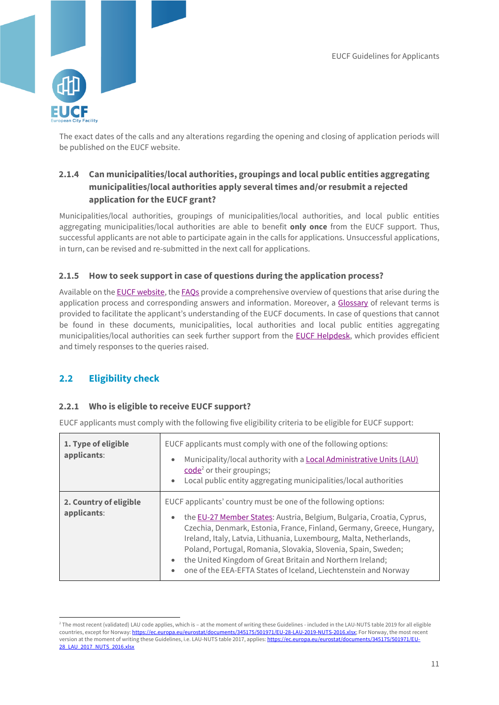

The exact dates of the calls and any alterations regarding the opening and closing of application periods will be published on the EUCF website.

## <span id="page-11-0"></span>**2.1.4 Can municipalities/local authorities, groupings and local public entities aggregating municipalities/local authorities apply several times and/or resubmit a rejected application for the EUCF grant?**

Municipalities/local authorities, groupings of municipalities/local authorities, and local public entities aggregating municipalities/local authorities are able to benefit **only once** from the EUCF support. Thus, successful applicants are not able to participate again in the calls for applications. Unsuccessful applications, in turn, can be revised and re-submitted in the next call for applications.

### <span id="page-11-1"></span>**2.1.5 How to seek support in case of questions during the application process?**

Available on the **EUCF website**, the **FAOs** provide a comprehensive overview of questions that arise during the application process and corresponding answers and information. Moreover, a [Glossary](https://www.eucityfacility.eu/support/knowledge-hub.html) of relevant terms is provided to facilitate the applicant's understanding of the EUCF documents. In case of questions that cannot be found in these documents, municipalities, local authorities and local public entities aggregating municipalities/local authorities can seek further support from the EUCF [Helpdesk,](https://www.eucityfacility.eu/support/helpdesk.html) which provides efficient and timely responses to the queries raised.

## <span id="page-11-2"></span>**2.2 Eligibility check**

-

#### <span id="page-11-3"></span>**2.2.1 Who is eligible to receive EUCF support?**

EUCF applicants must comply with the following five eligibility criteria to be eligible for EUCF support:

| 1. Type of eligible<br>applicants:    | EUCF applicants must comply with one of the following options:<br>Municipality/local authority with a <b>Local Administrative Units (LAU)</b><br>$\bullet$<br>code <sup>2</sup> or their groupings;<br>Local public entity aggregating municipalities/local authorities<br>$\bullet$                                                                                                                                                                                                                                           |
|---------------------------------------|--------------------------------------------------------------------------------------------------------------------------------------------------------------------------------------------------------------------------------------------------------------------------------------------------------------------------------------------------------------------------------------------------------------------------------------------------------------------------------------------------------------------------------|
| 2. Country of eligible<br>applicants: | EUCF applicants' country must be one of the following options:<br>the EU-27 Member States: Austria, Belgium, Bulgaria, Croatia, Cyprus,<br>$\bullet$<br>Czechia, Denmark, Estonia, France, Finland, Germany, Greece, Hungary,<br>Ireland, Italy, Latvia, Lithuania, Luxembourg, Malta, Netherlands,<br>Poland, Portugal, Romania, Slovakia, Slovenia, Spain, Sweden;<br>the United Kingdom of Great Britain and Northern Ireland;<br>$\bullet$<br>one of the EEA-EFTA States of Iceland, Liechtenstein and Norway<br>$\bullet$ |

<sup>&</sup>lt;sup>2</sup> The most recent (validated) LAU code applies, which is – at the moment of writing these Guidelines - included in the LAU-NUTS table 2019 for all eligible countries, except for Norway[: https://ec.europa.eu/eurostat/documents/345175/501971/EU-28-LAU-2019-NUTS-2016.xlsx;](https://ec.europa.eu/eurostat/documents/345175/501971/EU-28-LAU-2019-NUTS-2016.xlsx) For Norway, the most recent version at the moment of writing these Guidelines, i.e. LAU-NUTS table 2017, applies[: https://ec.europa.eu/eurostat/documents/345175/501971/EU-](https://ec.europa.eu/eurostat/documents/345175/501971/EU-28_LAU_2017_NUTS_2016.xlsx)[28\\_LAU\\_2017\\_NUTS\\_2016.xlsx](https://ec.europa.eu/eurostat/documents/345175/501971/EU-28_LAU_2017_NUTS_2016.xlsx)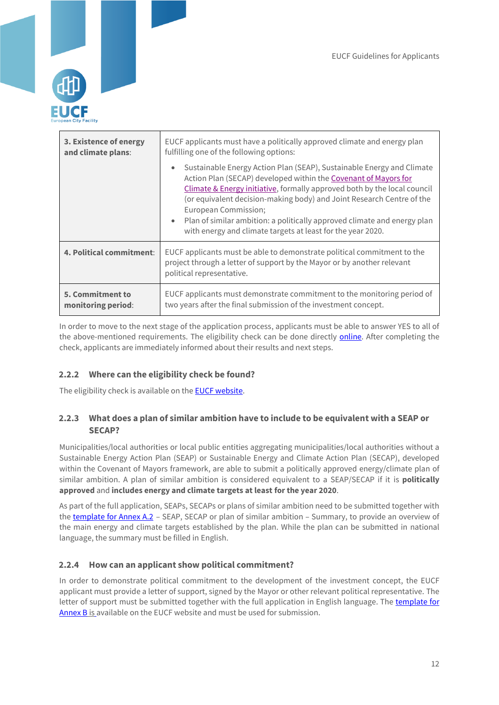

| 3. Existence of energy   | EUCF applicants must have a politically approved climate and energy plan                                                                                                                                                                                                                                                                                                                                                                                                                   |  |
|--------------------------|--------------------------------------------------------------------------------------------------------------------------------------------------------------------------------------------------------------------------------------------------------------------------------------------------------------------------------------------------------------------------------------------------------------------------------------------------------------------------------------------|--|
| and climate plans:       | fulfilling one of the following options:                                                                                                                                                                                                                                                                                                                                                                                                                                                   |  |
|                          | Sustainable Energy Action Plan (SEAP), Sustainable Energy and Climate<br>$\bullet$<br>Action Plan (SECAP) developed within the Covenant of Mayors for<br>Climate & Energy initiative, formally approved both by the local council<br>(or equivalent decision-making body) and Joint Research Centre of the<br>European Commission;<br>Plan of similar ambition: a politically approved climate and energy plan<br>$\bullet$<br>with energy and climate targets at least for the year 2020. |  |
| 4. Political commitment: | EUCF applicants must be able to demonstrate political commitment to the<br>project through a letter of support by the Mayor or by another relevant<br>political representative.                                                                                                                                                                                                                                                                                                            |  |
| 5. Commitment to         | EUCF applicants must demonstrate commitment to the monitoring period of                                                                                                                                                                                                                                                                                                                                                                                                                    |  |
| monitoring period:       | two years after the final submission of the investment concept.                                                                                                                                                                                                                                                                                                                                                                                                                            |  |

In order to move to the next stage of the application process, applicants must be able to answer YES to all of the above-mentioned requirements. The eligibility check can be done directly [online.](https://www.eucityfacility.eu/calls/online-application.html) After completing the check, applicants are immediately informed about their results and next steps.

## <span id="page-12-0"></span>**2.2.2 Where can the eligibility check be found?**

The eligibility check is available on the **EUCF website.** 

## <span id="page-12-1"></span>**2.2.3 What does a plan of similar ambition have to include to be equivalent with a SEAP or SECAP?**

Municipalities/local authorities or local public entities aggregating municipalities/local authorities without a Sustainable Energy Action Plan (SEAP) or Sustainable Energy and Climate Action Plan (SECAP), developed within the Covenant of Mayors framework, are able to submit a politically approved energy/climate plan of similar ambition. A plan of similar ambition is considered equivalent to a SEAP/SECAP if it is **politically approved** and **includes energy and climate targets at least for the year 2020**.

As part of the full application, SEAPs, SECAPs or plans of similar ambition need to be submitted together with the [template for Annex A.2](https://www.eucityfacility.eu/calls/application-process.html) - SEAP, SECAP or plan of similar ambition - Summary, to provide an overview of the main energy and climate targets established by the plan. While the plan can be submitted in national language, the summary must be filled in English.

#### <span id="page-12-2"></span>**2.2.4 How can an applicant show political commitment?**

In order to demonstrate political commitment to the development of the investment concept, the EUCF applicant must provide a letter of support, signed by the Mayor or other relevant political representative. The letter of support must be submitted together with the full application in English language. The template for [Annex B](https://www.eucityfacility.eu/calls/application-process.html) is available on the EUCF website and must be used for submission.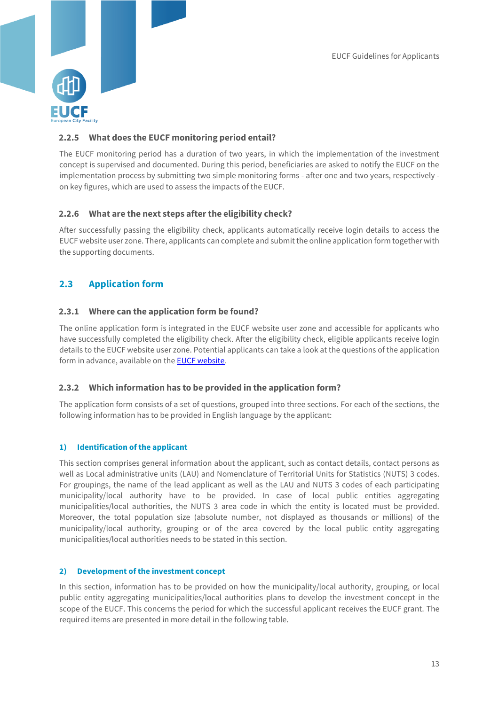

## <span id="page-13-0"></span>**2.2.5 What does the EUCF monitoring period entail?**

The EUCF monitoring period has a duration of two years, in which the implementation of the investment concept is supervised and documented. During this period, beneficiaries are asked to notify the EUCF on the implementation process by submitting two simple monitoring forms - after one and two years, respectively on key figures, which are used to assess the impacts of the EUCF.

### <span id="page-13-1"></span>**2.2.6 What are the next steps after the eligibility check?**

After successfully passing the eligibility check, applicants automatically receive login details to access the EUCF website user zone. There, applicants can complete and submit the online application form together with the supporting documents.

## <span id="page-13-2"></span>**2.3 Application form**

#### <span id="page-13-3"></span>**2.3.1 Where can the application form be found?**

The online application form is integrated in the EUCF website user zone and accessible for applicants who have successfully completed the eligibility check. After the eligibility check, eligible applicants receive login details to the EUCF website user zone. Potential applicants can take a look at the questions of the application form in advance, available on th[e EUCF website](https://www.eucityfacility.eu/home.html)*.*

#### <span id="page-13-4"></span>**2.3.2 Which information has to be provided in the application form?**

The application form consists of a set of questions, grouped into three sections. For each of the sections, the following information has to be provided in English language by the applicant:

#### **1) Identification of the applicant**

This section comprises general information about the applicant, such as contact details, contact persons as well as Local administrative units (LAU) and Nomenclature of Territorial Units for Statistics (NUTS) 3 codes. For groupings, the name of the lead applicant as well as the LAU and NUTS 3 codes of each participating municipality/local authority have to be provided. In case of local public entities aggregating municipalities/local authorities, the NUTS 3 area code in which the entity is located must be provided. Moreover, the total population size (absolute number, not displayed as thousands or millions) of the municipality/local authority, grouping or of the area covered by the local public entity aggregating municipalities/local authorities needs to be stated in this section.

#### **2) Development of the investment concept**

In this section, information has to be provided on how the municipality/local authority, grouping, or local public entity aggregating municipalities/local authorities plans to develop the investment concept in the scope of the EUCF. This concerns the period for which the successful applicant receives the EUCF grant. The required items are presented in more detail in the following table.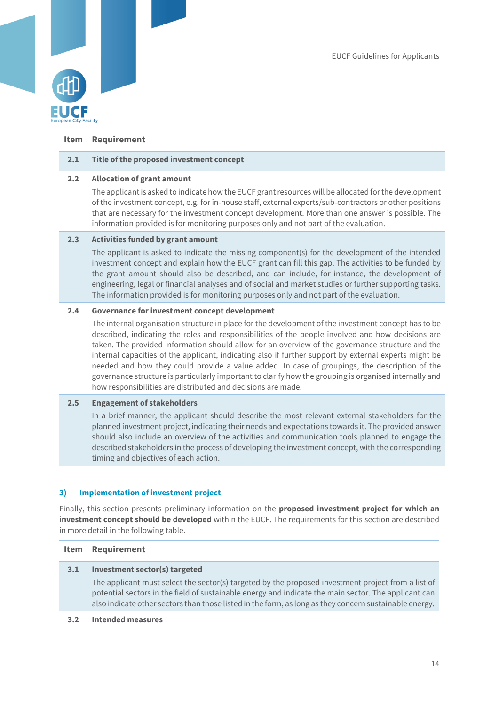

#### **Item Requirement**

#### **2.1 Title of the proposed investment concept**

#### **2.2 Allocation of grant amount**

The applicant is asked to indicate how the EUCF grant resources will be allocated for the development of the investment concept, e.g. for in-house staff, external experts/sub-contractors or other positions that are necessary for the investment concept development. More than one answer is possible. The information provided is for monitoring purposes only and not part of the evaluation.

#### **2.3 Activities funded by grant amount**

The applicant is asked to indicate the missing component(s) for the development of the intended investment concept and explain how the EUCF grant can fill this gap. The activities to be funded by the grant amount should also be described, and can include, for instance, the development of engineering, legal or financial analyses and of social and market studies or further supporting tasks. The information provided is for monitoring purposes only and not part of the evaluation.

#### **2.4 Governance for investment concept development**

The internal organisation structure in place for the development of the investment concept has to be described, indicating the roles and responsibilities of the people involved and how decisions are taken. The provided information should allow for an overview of the governance structure and the internal capacities of the applicant, indicating also if further support by external experts might be needed and how they could provide a value added. In case of groupings, the description of the governance structure is particularly important to clarify how the grouping is organised internally and how responsibilities are distributed and decisions are made.

#### **2.5 Engagement of stakeholders**

In a brief manner, the applicant should describe the most relevant external stakeholders for the planned investment project, indicating their needs and expectations towards it. The provided answer should also include an overview of the activities and communication tools planned to engage the described stakeholders in the process of developing the investment concept, with the corresponding timing and objectives of each action.

#### **3) Implementation of investment project**

Finally, this section presents preliminary information on the **proposed investment project for which an investment concept should be developed** within the EUCF. The requirements for this section are described in more detail in the following table.

#### **Item Requirement**

#### **3.1 Investment sector(s) targeted**

The applicant must select the sector(s) targeted by the proposed investment project from a list of potential sectors in the field of sustainable energy and indicate the main sector. The applicant can also indicate other sectors than those listed in the form, as long as they concern sustainable energy.

#### **3.2 Intended measures**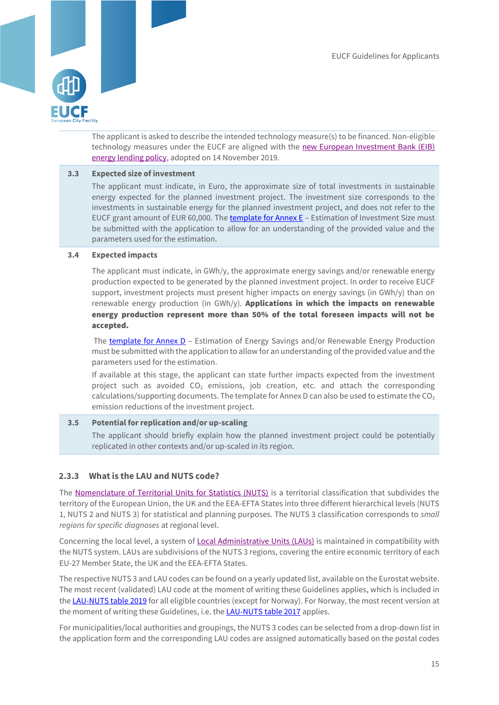

The applicant is asked to describe the intended technology measure(s) to be financed. Non-eligible technology measures under the EUCF are aligned with the [new European Investment Bank \(EIB\)](https://www.eib.org/en/publications/eib-energy-lending-policy.htm)  [energy lending policy,](https://www.eib.org/en/publications/eib-energy-lending-policy.htm) adopted on 14 November 2019.

#### **3.3 Expected size of investment**

The applicant must indicate, in Euro, the approximate size of total investments in sustainable energy expected for the planned investment project. The investment size corresponds to the investments in sustainable energy for the planned investment project, and does not refer to the EUCF grant amount of EUR 60,000. The [template for](https://www.eucityfacility.eu/calls/application-process.html) Annex E – Estimation of Investment Size must be submitted with the application to allow for an understanding of the provided value and the parameters used for the estimation.

#### **3.4 Expected impacts**

The applicant must indicate, in GWh/y, the approximate energy savings and/or renewable energy production expected to be generated by the planned investment project. In order to receive EUCF support, investment projects must present higher impacts on energy savings (in GWh/y) than on renewable energy production (in GWh/y). Applications in which the impacts on renewable energy production represent more than 50% of the total foreseen impacts will not be accepted.

The [template for Annex D](https://www.eucityfacility.eu/calls/application-process.html) - Estimation of Energy Savings and/or Renewable Energy Production must be submitted with the application to allow for an understanding of the provided value and the parameters used for the estimation.

If available at this stage, the applicant can state further impacts expected from the investment project such as avoided  $CO<sub>2</sub>$  emissions, job creation, etc. and attach the corresponding calculations/supporting documents. The template for Annex D can also be used to estimate the  $CO<sub>2</sub>$ emission reductions of the investment project.

#### **3.5 Potential for replication and/or up-scaling** The applicant should briefly explain how the planned investment project could be potentially replicated in other contexts and/or up-scaled in its region.

#### <span id="page-15-0"></span>**2.3.3 What is the LAU and NUTS code?**

The [Nomenclature of Territorial Units for Statistics \(NUTS\)](https://ec.europa.eu/eurostat/web/nuts/principles-and-characteristics) is a territorial classification that subdivides the territory of the European Union, the UK and the EEA-EFTA States into three different hierarchical levels (NUTS 1, NUTS 2 and NUTS 3) for statistical and planning purposes. The NUTS 3 classification corresponds to *small regions for specific diagnoses* at regional level.

Concerning the local level, a system of [Local Administrative Units \(LAUs\)](https://ec.europa.eu/eurostat/web/nuts/local-administrative-units) is maintained in compatibility with the NUTS system. LAUs are subdivisions of the NUTS 3 regions, covering the entire economic territory of each EU-27 Member State, the UK and the EEA-EFTA States.

The respective NUTS 3 and LAU codes can be found on a yearly updated list, available on the Eurostat website. The most recent (validated) LAU code at the moment of writing these Guidelines applies, which is included in the [LAU-NUTS table 2019](https://ec.europa.eu/eurostat/documents/345175/501971/EU-28-LAU-2019-NUTS-2016.xlsx) for all eligible countries (except for Norway). For Norway, the most recent version at the moment of writing these Guidelines, i.e. th[e LAU-NUTS table 2017](https://ec.europa.eu/eurostat/documents/345175/501971/EU-28_LAU_2017_NUTS_2016.xlsx) applies.

For municipalities/local authorities and groupings, the NUTS 3 codes can be selected from a drop-down list in the application form and the corresponding LAU codes are assigned automatically based on the postal codes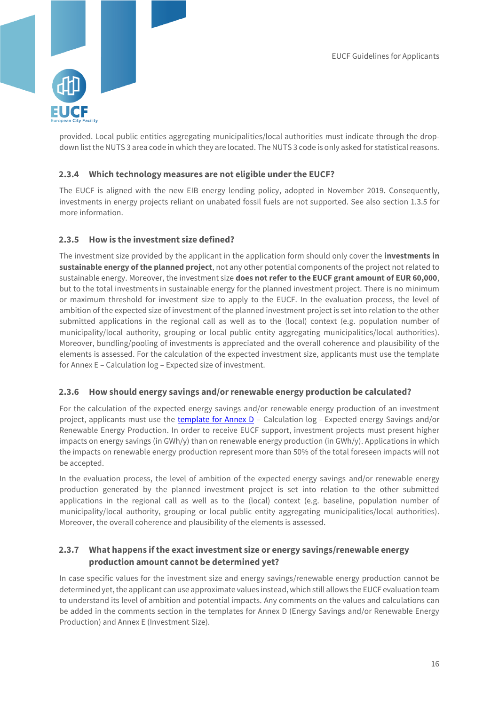

provided. Local public entities aggregating municipalities/local authorities must indicate through the dropdown list the NUTS 3 area code in which they are located. The NUTS 3 code is only asked for statistical reasons.

#### <span id="page-16-0"></span>**2.3.4 Which technology measures are not eligible under the EUCF?**

The EUCF is aligned with the new EIB energy lending policy, adopted in November 2019. Consequently, investments in energy projects reliant on unabated fossil fuels are not supported. See also section 1.3.5 for more information.

### <span id="page-16-1"></span>**2.3.5 How is the investment size defined?**

The investment size provided by the applicant in the application form should only cover the **investments in sustainable energy of the planned project**, not any other potential components of the project not related to sustainable energy. Moreover, the investment size **does not refer to the EUCF grant amount of EUR 60,000**, but to the total investments in sustainable energy for the planned investment project. There is no minimum or maximum threshold for investment size to apply to the EUCF. In the evaluation process, the level of ambition of the expected size of investment of the planned investment project is set into relation to the other submitted applications in the regional call as well as to the (local) context (e.g. population number of municipality/local authority, grouping or local public entity aggregating municipalities/local authorities). Moreover, bundling/pooling of investments is appreciated and the overall coherence and plausibility of the elements is assessed. For the calculation of the expected investment size, applicants must use the template for Annex E – Calculation log – Expected size of investment.

#### <span id="page-16-2"></span>**2.3.6 How should energy savings and/or renewable energy production be calculated?**

For the calculation of the expected energy savings and/or renewable energy production of an investment project, applicants must use the [template for Annex D](https://www.eucityfacility.eu/calls/application-process.html) – Calculation log - Expected energy Savings and/or Renewable Energy Production. In order to receive EUCF support, investment projects must present higher impacts on energy savings (in GWh/y) than on renewable energy production (in GWh/y). Applications in which the impacts on renewable energy production represent more than 50% of the total foreseen impacts will not be accepted.

In the evaluation process, the level of ambition of the expected energy savings and/or renewable energy production generated by the planned investment project is set into relation to the other submitted applications in the regional call as well as to the (local) context (e.g. baseline, population number of municipality/local authority, grouping or local public entity aggregating municipalities/local authorities). Moreover, the overall coherence and plausibility of the elements is assessed.

## <span id="page-16-3"></span>**2.3.7 What happens if the exact investment size or energy savings/renewable energy production amount cannot be determined yet?**

In case specific values for the investment size and energy savings/renewable energy production cannot be determined yet, the applicant can use approximate values instead, which still allows the EUCF evaluation team to understand its level of ambition and potential impacts. Any comments on the values and calculations can be added in the comments section in the templates for Annex D (Energy Savings and/or Renewable Energy Production) and Annex E (Investment Size).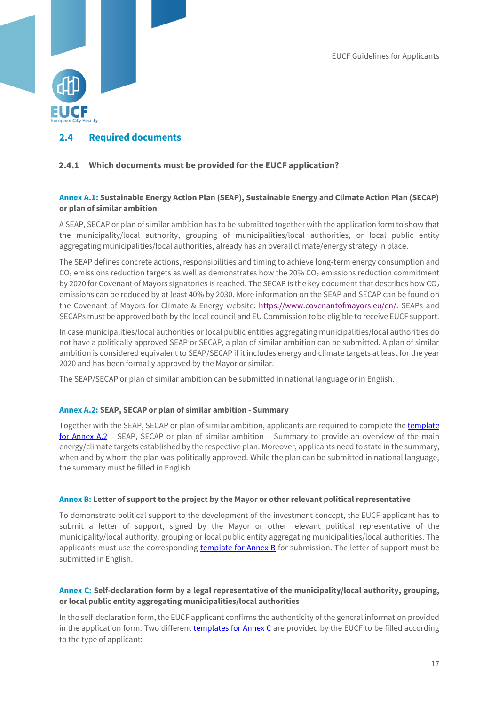

## <span id="page-17-0"></span>**2.4 Required documents**

#### <span id="page-17-1"></span>**2.4.1 Which documents must be provided for the EUCF application?**

#### **Annex A.1: Sustainable Energy Action Plan (SEAP), Sustainable Energy and Climate Action Plan (SECAP) or plan of similar ambition**

A SEAP, SECAP or plan of similar ambition has to be submitted together with the application form to show that the municipality/local authority, grouping of municipalities/local authorities, or local public entity aggregating municipalities/local authorities, already has an overall climate/energy strategy in place.

The SEAP defines concrete actions, responsibilities and timing to achieve long-term energy consumption and CO<sub>2</sub> emissions reduction targets as well as demonstrates how the 20% CO<sub>2</sub> emissions reduction commitment by 2020 for Covenant of Mayors signatories is reached. The SECAP is the key document that describes how  $CO<sub>2</sub>$ emissions can be reduced by at least 40% by 2030. More information on the SEAP and SECAP can be found on the Covenant of Mayors for Climate & Energy website: [https://www.covenantofmayors.eu/en/.](https://www.covenantofmayors.eu/en/) SEAPs and SECAPs must be approved both by the local council and EU Commission to be eligible to receive EUCF support.

In case municipalities/local authorities or local public entities aggregating municipalities/local authorities do not have a politically approved SEAP or SECAP, a plan of similar ambition can be submitted. A plan of similar ambition is considered equivalent to SEAP/SECAP if it includes energy and climate targets at least for the year 2020 and has been formally approved by the Mayor or similar.

The SEAP/SECAP or plan of similar ambition can be submitted in national language or in English.

#### **Annex A.2: SEAP, SECAP or plan of similar ambition - Summary**

Together with the SEAP, SECAP or plan of similar ambition, applicants are required to complete the template [for Annex A.2](https://www.eucityfacility.eu/calls/application-process.html) – SEAP, SECAP or plan of similar ambition – Summary to provide an overview of the main energy/climate targets established by the respective plan. Moreover, applicants need to state in the summary, when and by whom the plan was politically approved. While the plan can be submitted in national language, the summary must be filled in English.

#### **Annex B: Letter of support to the project by the Mayor or other relevant political representative**

To demonstrate political support to the development of the investment concept, the EUCF applicant has to submit a letter of support, signed by the Mayor or other relevant political representative of the municipality/local authority, grouping or local public entity aggregating municipalities/local authorities. The applicants must use the corresponding [template for Annex B](https://www.eucityfacility.eu/calls/application-process.html) for submission. The letter of support must be submitted in English.

#### **Annex C: Self-declaration form by a legal representative of the municipality/local authority, grouping, or local public entity aggregating municipalities/local authorities**

In the self-declaration form, the EUCF applicant confirms the authenticity of the general information provided in the application form. Two different [templates for Annex C](https://www.eucityfacility.eu/calls/application-process.html) are provided by the EUCF to be filled according to the type of applicant: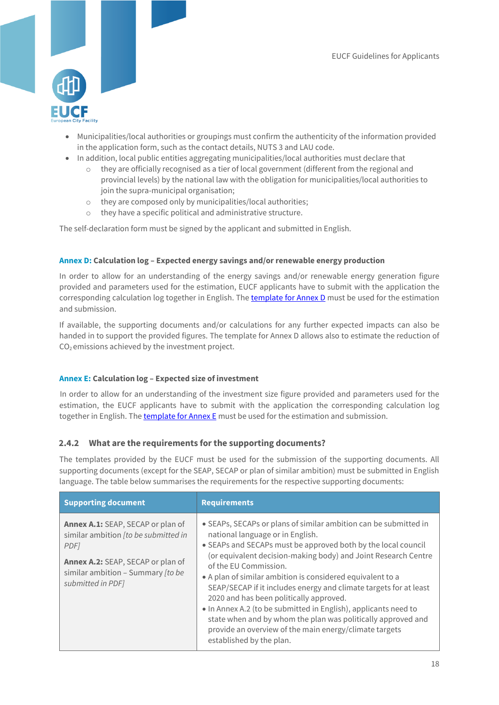

- Municipalities/local authorities or groupings must confirm the authenticity of the information provided in the application form, such as the contact details, NUTS 3 and LAU code.
- In addition, local public entities aggregating municipalities/local authorities must declare that
	- $\circ$  they are officially recognised as a tier of local government (different from the regional and provincial levels) by the national law with the obligation for municipalities/local authorities to join the supra-municipal organisation;
	- o they are composed only by municipalities/local authorities;
	- o they have a specific political and administrative structure.

The self-declaration form must be signed by the applicant and submitted in English.

#### **Annex D: Calculation log – Expected energy savings and/or renewable energy production**

In order to allow for an understanding of the energy savings and/or renewable energy generation figure provided and parameters used for the estimation, EUCF applicants have to submit with the application the corresponding calculation log together in English. The template [for Annex D](https://www.eucityfacility.eu/calls/application-process.html) must be used for the estimation and submission.

If available, the supporting documents and/or calculations for any further expected impacts can also be handed in to support the provided figures. The template for Annex D allows also to estimate the reduction of  $CO<sub>2</sub>$  emissions achieved by the investment project.

#### **Annex E: Calculation log – Expected size of investment**

In order to allow for an understanding of the investment size figure provided and parameters used for the estimation, the EUCF applicants have to submit with the application the corresponding calculation log together in English. The [template for Annex E](https://www.eucityfacility.eu/calls/application-process.html) must be used for the estimation and submission.

#### <span id="page-18-0"></span>**2.4.2 What are the requirements for the supporting documents?**

The templates provided by the EUCF must be used for the submission of the supporting documents. All supporting documents (except for the SEAP, SECAP or plan of similar ambition) must be submitted in English language. The table below summarises the requirements for the respective supporting documents:

| <b>Supporting document</b>                                                                                                                                                                   | <b>Requirements</b>                                                                                                                                                                                                                                                                                                                                                                                                                                                                                                                                                                                                                                                     |
|----------------------------------------------------------------------------------------------------------------------------------------------------------------------------------------------|-------------------------------------------------------------------------------------------------------------------------------------------------------------------------------------------------------------------------------------------------------------------------------------------------------------------------------------------------------------------------------------------------------------------------------------------------------------------------------------------------------------------------------------------------------------------------------------------------------------------------------------------------------------------------|
| Annex A.1: SEAP, SECAP or plan of<br>similar ambition [to be submitted in<br>PDF <sub>1</sub><br>Annex A.2: SEAP, SECAP or plan of<br>similar ambition - Summary [to be<br>submitted in PDF] | • SEAPs, SECAPs or plans of similar ambition can be submitted in<br>national language or in English.<br>• SEAPs and SECAPs must be approved both by the local council<br>(or equivalent decision-making body) and Joint Research Centre<br>of the EU Commission.<br>• A plan of similar ambition is considered equivalent to a<br>SEAP/SECAP if it includes energy and climate targets for at least<br>2020 and has been politically approved.<br>• In Annex A.2 (to be submitted in English), applicants need to<br>state when and by whom the plan was politically approved and<br>provide an overview of the main energy/climate targets<br>established by the plan. |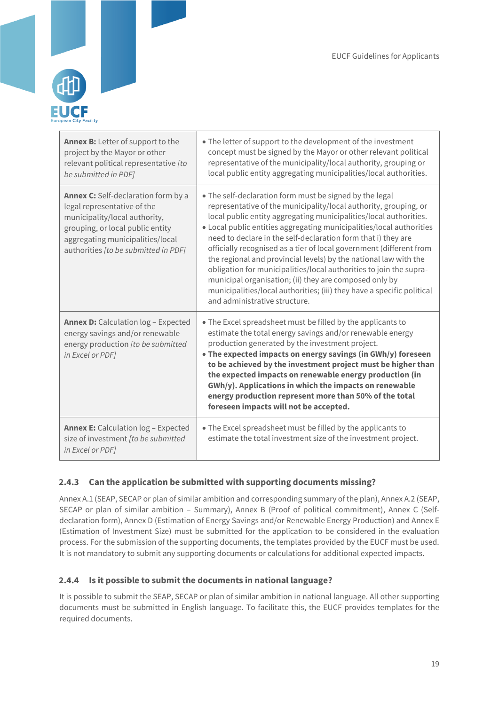

| Annex B: Letter of support to the<br>project by the Mayor or other<br>relevant political representative [to<br>be submitted in PDF]                                                                                        | • The letter of support to the development of the investment<br>concept must be signed by the Mayor or other relevant political<br>representative of the municipality/local authority, grouping or<br>local public entity aggregating municipalities/local authorities.                                                                                                                                                                                                                                                                                                                                                                                                                                                         |
|----------------------------------------------------------------------------------------------------------------------------------------------------------------------------------------------------------------------------|---------------------------------------------------------------------------------------------------------------------------------------------------------------------------------------------------------------------------------------------------------------------------------------------------------------------------------------------------------------------------------------------------------------------------------------------------------------------------------------------------------------------------------------------------------------------------------------------------------------------------------------------------------------------------------------------------------------------------------|
| <b>Annex C:</b> Self-declaration form by a<br>legal representative of the<br>municipality/local authority,<br>grouping, or local public entity<br>aggregating municipalities/local<br>authorities [to be submitted in PDF] | • The self-declaration form must be signed by the legal<br>representative of the municipality/local authority, grouping, or<br>local public entity aggregating municipalities/local authorities.<br>• Local public entities aggregating municipalities/local authorities<br>need to declare in the self-declaration form that i) they are<br>officially recognised as a tier of local government (different from<br>the regional and provincial levels) by the national law with the<br>obligation for municipalities/local authorities to join the supra-<br>municipal organisation; (ii) they are composed only by<br>municipalities/local authorities; (iii) they have a specific political<br>and administrative structure. |
| <b>Annex D:</b> Calculation log - Expected<br>energy savings and/or renewable<br>energy production [to be submitted<br>in Excel or PDF]                                                                                    | • The Excel spreadsheet must be filled by the applicants to<br>estimate the total energy savings and/or renewable energy<br>production generated by the investment project.<br>• The expected impacts on energy savings (in GWh/y) foreseen<br>to be achieved by the investment project must be higher than<br>the expected impacts on renewable energy production (in<br>GWh/y). Applications in which the impacts on renewable<br>energy production represent more than 50% of the total<br>foreseen impacts will not be accepted.                                                                                                                                                                                            |
| <b>Annex E:</b> Calculation log - Expected<br>size of investment [to be submitted<br>in Excel or PDF]                                                                                                                      | • The Excel spreadsheet must be filled by the applicants to<br>estimate the total investment size of the investment project.                                                                                                                                                                                                                                                                                                                                                                                                                                                                                                                                                                                                    |

## <span id="page-19-0"></span>**2.4.3 Can the application be submitted with supporting documents missing?**

Annex A.1 (SEAP, SECAP or plan of similar ambition and corresponding summary of the plan), Annex A.2 (SEAP, SECAP or plan of similar ambition – Summary), Annex B (Proof of political commitment), Annex C (Selfdeclaration form), Annex D (Estimation of Energy Savings and/or Renewable Energy Production) and Annex E (Estimation of Investment Size) must be submitted for the application to be considered in the evaluation process. For the submission of the supporting documents, the templates provided by the EUCF must be used. It is not mandatory to submit any supporting documents or calculations for additional expected impacts.

#### <span id="page-19-1"></span>**2.4.4 Is it possible to submit the documents in national language?**

It is possible to submit the SEAP, SECAP or plan of similar ambition in national language. All other supporting documents must be submitted in English language. To facilitate this, the EUCF provides templates for the required documents.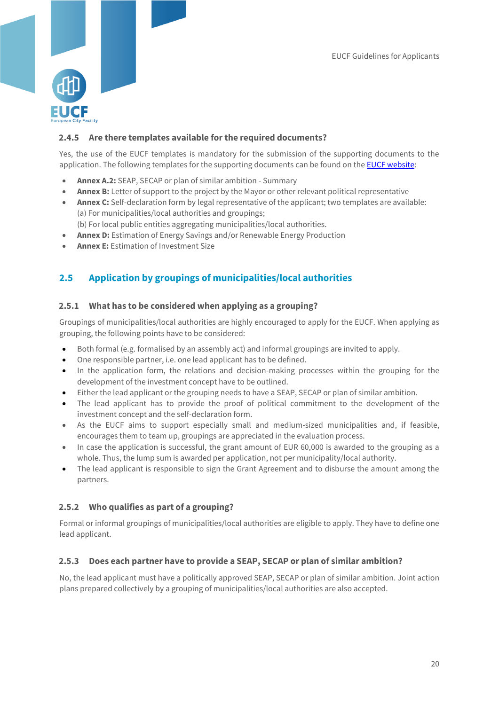

## <span id="page-20-0"></span>**2.4.5 Are there templates available for the required documents?**

Yes, the use of the EUCF templates is mandatory for the submission of the supporting documents to the application. The following templates for the supporting documents can be found on th[e EUCF website:](https://www.eucityfacility.eu/calls/application-process.html)

- **Annex A.2:** SEAP, SECAP or plan of similar ambition Summary
- **Annex B:** Letter of support to the project by the Mayor or other relevant political representative
- **Annex C:** Self-declaration form by legal representative of the applicant; two templates are available: (a) For municipalities/local authorities and groupings;
	- (b) For local public entities aggregating municipalities/local authorities.
- **Annex D:** Estimation of Energy Savings and/or Renewable Energy Production
- **Annex E:** Estimation of Investment Size

## <span id="page-20-1"></span>**2.5 Application by groupings of municipalities/local authorities**

#### <span id="page-20-2"></span>**2.5.1 What has to be considered when applying as a grouping?**

Groupings of municipalities/local authorities are highly encouraged to apply for the EUCF. When applying as grouping, the following points have to be considered:

- Both formal (e.g. formalised by an assembly act) and informal groupings are invited to apply.
- One responsible partner, i.e. one lead applicant has to be defined.
- In the application form, the relations and decision-making processes within the grouping for the development of the investment concept have to be outlined.
- Either the lead applicant or the grouping needs to have a SEAP, SECAP or plan of similar ambition.
- The lead applicant has to provide the proof of political commitment to the development of the investment concept and the self-declaration form.
- As the EUCF aims to support especially small and medium-sized municipalities and, if feasible, encourages them to team up, groupings are appreciated in the evaluation process.
- In case the application is successful, the grant amount of EUR 60,000 is awarded to the grouping as a whole. Thus, the lump sum is awarded per application, not per municipality/local authority.
- The lead applicant is responsible to sign the Grant Agreement and to disburse the amount among the partners.

#### <span id="page-20-3"></span>**2.5.2 Who qualifies as part of a grouping?**

Formal or informal groupings of municipalities/local authorities are eligible to apply. They have to define one lead applicant.

#### <span id="page-20-4"></span>**2.5.3 Does each partner have to provide a SEAP, SECAP or plan of similar ambition?**

No, the lead applicant must have a politically approved SEAP, SECAP or plan of similar ambition. Joint action plans prepared collectively by a grouping of municipalities/local authorities are also accepted.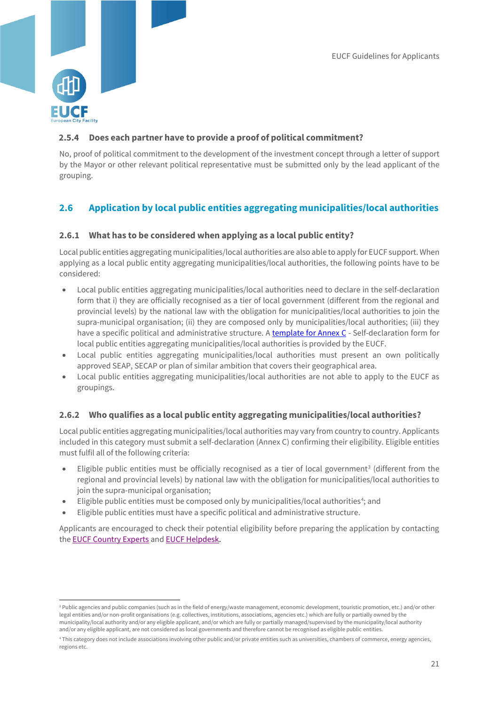

1

## <span id="page-21-0"></span>**2.5.4 Does each partner have to provide a proof of political commitment?**

No, proof of political commitment to the development of the investment concept through a letter of support by the Mayor or other relevant political representative must be submitted only by the lead applicant of the grouping.

## <span id="page-21-1"></span>**2.6 Application by local public entities aggregating municipalities/local authorities**

#### <span id="page-21-2"></span>**2.6.1 What has to be considered when applying as a local public entity?**

Local public entities aggregating municipalities/local authorities are also able to apply for EUCF support. When applying as a local public entity aggregating municipalities/local authorities, the following points have to be considered:

- Local public entities aggregating municipalities/local authorities need to declare in the self-declaration form that i) they are officially recognised as a tier of local government (different from the regional and provincial levels) by the national law with the obligation for municipalities/local authorities to join the supra-municipal organisation; (ii) they are composed only by municipalities/local authorities; (iii) they have a specific political and administrative structure. A template [for Annex C](https://www.eucityfacility.eu/calls/application-process.html) - Self-declaration form for local public entities aggregating municipalities/local authorities is provided by the EUCF.
- Local public entities aggregating municipalities/local authorities must present an own politically approved SEAP, SECAP or plan of similar ambition that covers their geographical area.
- Local public entities aggregating municipalities/local authorities are not able to apply to the EUCF as groupings.

#### <span id="page-21-3"></span>**2.6.2 Who qualifies as a local public entity aggregating municipalities/local authorities?**

Local public entities aggregating municipalities/local authorities may vary from country to country. Applicants included in this category must submit a self-declaration (Annex C) confirming their eligibility. Eligible entities must fulfil all of the following criteria:

- Eligible public entities must be officially recognised as a tier of local government<sup>3</sup> (different from the regional and provincial levels) by national law with the obligation for municipalities/local authorities to join the supra-municipal organisation;
- Eligible public entities must be composed only by municipalities/local authorities<sup>4</sup>; and
- Eligible public entities must have a specific political and administrative structure.

Applicants are encouraged to check their potential eligibility before preparing the application by contacting th[e EUCF Country Experts](https://www.eucityfacility.eu/support/technical-support.html) and [EUCF Helpdesk.](https://www.eucityfacility.eu/support/helpdesk.html) 

<sup>&</sup>lt;sup>3</sup> Public agencies and public companies (such as in the field of energy/waste management, economic development, touristic promotion, etc.) and/or other legal entities and/or non-profit organisations (e.g. collectives, institutions, associations, agencies etc.) which are fully or partially owned by the municipality/local authority and/or any eligible applicant, and/or which are fully or partially managed/supervised by the municipality/local authority and/or any eligible applicant, are not considered as local governments and therefore cannot be recognised as eligible public entities.

<sup>4</sup> This category does not include associations involving other public and/or private entities such as universities, chambers of commerce, energy agencies, regions etc.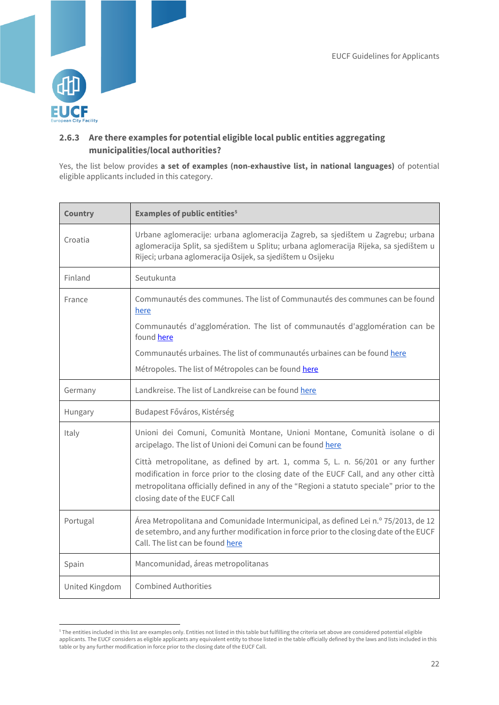

-

## <span id="page-22-0"></span>**2.6.3 Are there examples for potential eligible local public entities aggregating municipalities/local authorities?**

Yes, the list below provides **a set of examples (non-exhaustive list, in national languages)** of potential eligible applicants included in this category.

| <b>Country</b> | <b>Examples of public entities<sup>5</sup></b>                                                                                                                                                                                                                                                        |
|----------------|-------------------------------------------------------------------------------------------------------------------------------------------------------------------------------------------------------------------------------------------------------------------------------------------------------|
| Croatia        | Urbane aglomeracije: urbana aglomeracija Zagreb, sa sjedištem u Zagrebu; urbana<br>aglomeracija Split, sa sjedištem u Splitu; urbana aglomeracija Rijeka, sa sjedištem u<br>Rijeci; urbana aglomeracija Osijek, sa sjedištem u Osijeku                                                                |
| Finland        | Seutukunta                                                                                                                                                                                                                                                                                            |
| France         | Communautés des communes. The list of Communautés des communes can be found<br>here                                                                                                                                                                                                                   |
|                | Communautés d'agglomération. The list of communautés d'agglomération can be<br>found here                                                                                                                                                                                                             |
|                | Communautés urbaines. The list of communautés urbaines can be found here                                                                                                                                                                                                                              |
|                | Métropoles. The list of Métropoles can be found here                                                                                                                                                                                                                                                  |
| Germany        | Landkreise. The list of Landkreise can be found here                                                                                                                                                                                                                                                  |
| Hungary        | Budapest Főváros, Kistérség                                                                                                                                                                                                                                                                           |
| Italy          | Unioni dei Comuni, Comunità Montane, Unioni Montane, Comunità isolane o di<br>arcipelago. The list of Unioni dei Comuni can be found here                                                                                                                                                             |
|                | Città metropolitane, as defined by art. 1, comma 5, L. n. 56/201 or any further<br>modification in force prior to the closing date of the EUCF Call, and any other città<br>metropolitana officially defined in any of the "Regioni a statuto speciale" prior to the<br>closing date of the EUCF Call |
| Portugal       | Área Metropolitana and Comunidade Intermunicipal, as defined Lei n.º 75/2013, de 12<br>de setembro, and any further modification in force prior to the closing date of the EUCF<br>Call. The list can be found here                                                                                   |
| Spain          | Mancomunidad, áreas metropolitanas                                                                                                                                                                                                                                                                    |
| United Kingdom | <b>Combined Authorities</b>                                                                                                                                                                                                                                                                           |

<sup>&</sup>lt;sup>5</sup> The entities included in this list are examples only. Entities not listed in this table but fulfilling the criteria set above are considered potential eligible applicants. The EUCF considers as eligible applicants any equivalent entity to those listed in the table officially defined by the laws and lists included in this table or by any further modification in force prior to the closing date of the EUCF Call.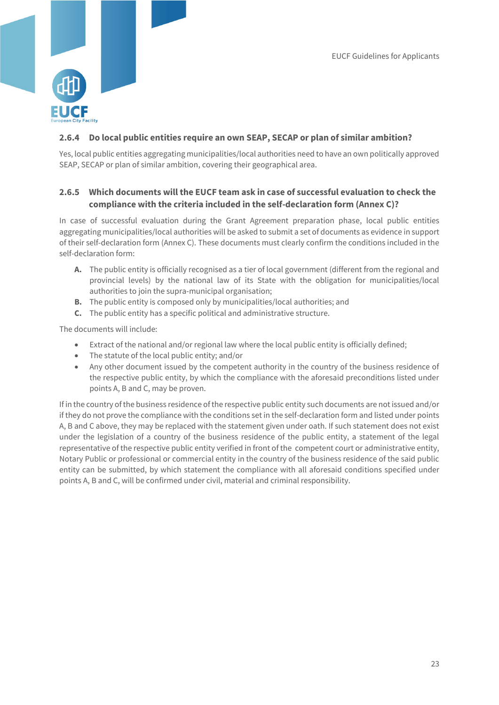

## <span id="page-23-0"></span>**2.6.4 Do local public entities require an own SEAP, SECAP or plan of similar ambition?**

Yes, local public entities aggregating municipalities/local authorities need to have an own politically approved SEAP, SECAP or plan of similar ambition, covering their geographical area.

## <span id="page-23-1"></span>**2.6.5 Which documents will the EUCF team ask in case of successful evaluation to check the compliance with the criteria included in the self-declaration form (Annex C)?**

In case of successful evaluation during the Grant Agreement preparation phase, local public entities aggregating municipalities/local authorities will be asked to submit a set of documents as evidence in support of their self-declaration form (Annex C). These documents must clearly confirm the conditions included in the self-declaration form:

- **A.** The public entity is officially recognised as a tier of local government (different from the regional and provincial levels) by the national law of its State with the obligation for municipalities/local authorities to join the supra-municipal organisation:
- **B.** The public entity is composed only by municipalities/local authorities; and
- **C.** The public entity has a specific political and administrative structure.

The documents will include:

- Extract of the national and/or regional law where the local public entity is officially defined;
- The statute of the local public entity; and/or
- Any other document issued by the competent authority in the country of the business residence of the respective public entity, by which the compliance with the aforesaid preconditions listed under points A, B and C, may be proven.

If in the country of the business residence of the respective public entity such documents are not issued and/or if they do not prove the compliance with the conditions set in the self-declaration form and listed under points A, B and C above, they may be replaced with the statement given under oath. If such statement does not exist under the legislation of a country of the business residence of the public entity, a statement of the legal representative of the respective public entity verified in front of the competent court or administrative entity, Notary Public or professional or commercial entity in the country of the business residence of the said public entity can be submitted, by which statement the compliance with all aforesaid conditions specified under points A, B and C, will be confirmed under civil, material and criminal responsibility.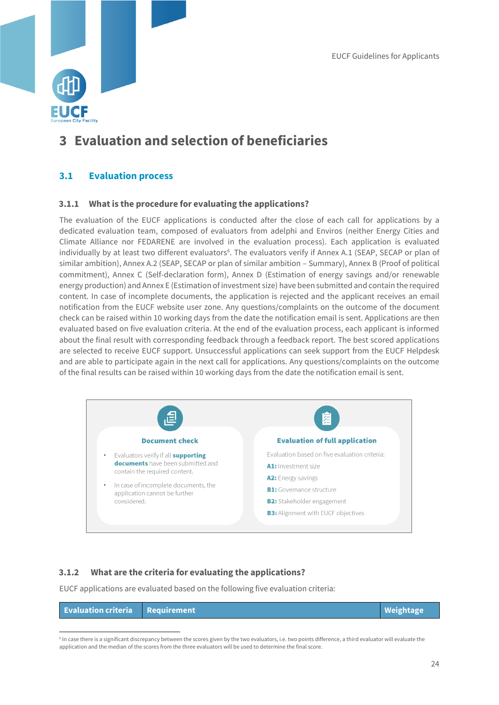

## <span id="page-24-0"></span>**3 Evaluation and selection of beneficiaries**

## <span id="page-24-1"></span>**3.1 Evaluation process**

#### <span id="page-24-2"></span>**3.1.1 What is the procedure for evaluating the applications?**

The evaluation of the EUCF applications is conducted after the close of each call for applications by a dedicated evaluation team, composed of evaluators from adelphi and Enviros (neither Energy Cities and Climate Alliance nor FEDARENE are involved in the evaluation process). Each application is evaluated individually by at least two different evaluators<sup>6</sup>. The evaluators verify if Annex A.1 (SEAP, SECAP or plan of similar ambition), Annex A.2 (SEAP, SECAP or plan of similar ambition – Summary), Annex B (Proof of political commitment), Annex C (Self-declaration form), Annex D (Estimation of energy savings and/or renewable energy production) and Annex E (Estimation of investment size) have been submitted and contain the required content. In case of incomplete documents, the application is rejected and the applicant receives an email notification from the EUCF website user zone. Any questions/complaints on the outcome of the document check can be raised within 10 working days from the date the notification email is sent. Applications are then evaluated based on five evaluation criteria. At the end of the evaluation process, each applicant is informed about the final result with corresponding feedback through a feedback report. The best scored applications are selected to receive EUCF support. Unsuccessful applications can seek support from the EUCF Helpdesk and are able to participate again in the next call for applications. Any questions/complaints on the outcome of the final results can be raised within 10 working days from the date the notification email is sent.



## <span id="page-24-3"></span>**3.1.2 What are the criteria for evaluating the applications?**

1

EUCF applications are evaluated based on the following five evaluation criteria:

| <b>Evaluation criteria Requirement</b> | Weightage <sup>1</sup> |
|----------------------------------------|------------------------|
|                                        |                        |

<sup>6</sup> In case there is a significant discrepancy between the scores given by the two evaluators, i.e. two points difference, a third evaluator will evaluate the application and the median of the scores from the three evaluators will be used to determine the final score.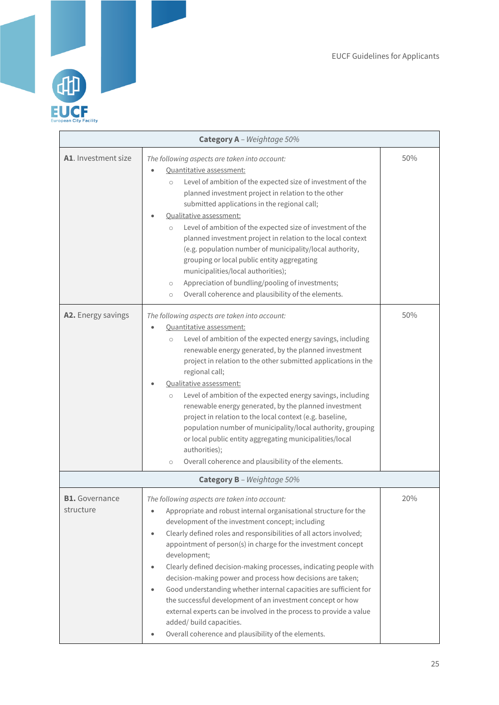

| Category A - Weightage 50%         |                                                                                                                                                                                                                                                                                                                                                                                                                                                                                                                                                                                                                                                                                                                                                                                                                              |     |  |
|------------------------------------|------------------------------------------------------------------------------------------------------------------------------------------------------------------------------------------------------------------------------------------------------------------------------------------------------------------------------------------------------------------------------------------------------------------------------------------------------------------------------------------------------------------------------------------------------------------------------------------------------------------------------------------------------------------------------------------------------------------------------------------------------------------------------------------------------------------------------|-----|--|
| A1. Investment size                | The following aspects are taken into account:<br>Quantitative assessment:<br>Level of ambition of the expected size of investment of the<br>$\circ$<br>planned investment project in relation to the other<br>submitted applications in the regional call;<br>Qualitative assessment:<br>Level of ambition of the expected size of investment of the<br>$\circ$<br>planned investment project in relation to the local context<br>(e.g. population number of municipality/local authority,<br>grouping or local public entity aggregating<br>municipalities/local authorities);<br>Appreciation of bundling/pooling of investments;<br>$\bigcirc$<br>Overall coherence and plausibility of the elements.<br>$\circ$                                                                                                          | 50% |  |
| A2. Energy savings                 | The following aspects are taken into account:<br>Quantitative assessment:<br>Level of ambition of the expected energy savings, including<br>$\circ$<br>renewable energy generated, by the planned investment<br>project in relation to the other submitted applications in the<br>regional call;<br>Qualitative assessment:<br>Level of ambition of the expected energy savings, including<br>$\circ$<br>renewable energy generated, by the planned investment<br>project in relation to the local context (e.g. baseline,<br>population number of municipality/local authority, grouping<br>or local public entity aggregating municipalities/local<br>authorities);<br>Overall coherence and plausibility of the elements.<br>$\circ$                                                                                      | 50% |  |
|                                    | Category B - Weightage 50%                                                                                                                                                                                                                                                                                                                                                                                                                                                                                                                                                                                                                                                                                                                                                                                                   |     |  |
| <b>B1.</b> Governance<br>structure | The following aspects are taken into account:<br>Appropriate and robust internal organisational structure for the<br>$\bullet$<br>development of the investment concept; including<br>Clearly defined roles and responsibilities of all actors involved;<br>$\bullet$<br>appointment of person(s) in charge for the investment concept<br>development;<br>Clearly defined decision-making processes, indicating people with<br>$\bullet$<br>decision-making power and process how decisions are taken;<br>Good understanding whether internal capacities are sufficient for<br>$\bullet$<br>the successful development of an investment concept or how<br>external experts can be involved in the process to provide a value<br>added/ build capacities.<br>Overall coherence and plausibility of the elements.<br>$\bullet$ | 20% |  |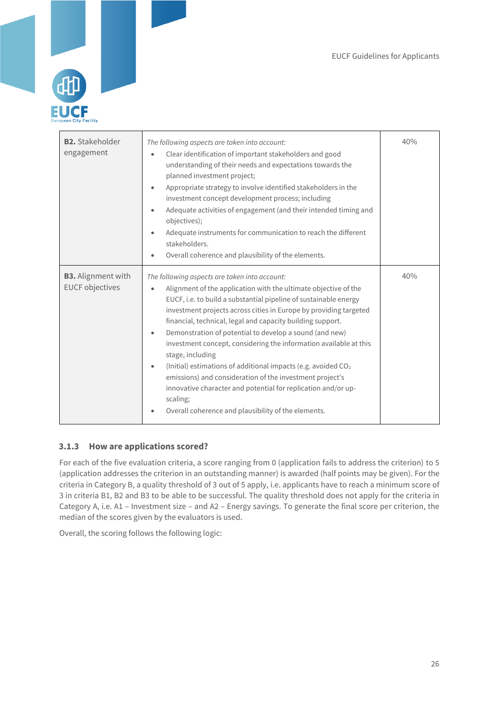

| <b>B2.</b> Stakeholder<br>engagement                | The following aspects are taken into account:<br>Clear identification of important stakeholders and good<br>$\bullet$<br>understanding of their needs and expectations towards the<br>planned investment project;<br>Appropriate strategy to involve identified stakeholders in the<br>$\bullet$<br>investment concept development process; including<br>Adequate activities of engagement (and their intended timing and<br>$\bullet$<br>objectives);<br>Adequate instruments for communication to reach the different<br>$\bullet$<br>stakeholders.<br>Overall coherence and plausibility of the elements.<br>$\bullet$                                                                                                                                                             | 40% |
|-----------------------------------------------------|---------------------------------------------------------------------------------------------------------------------------------------------------------------------------------------------------------------------------------------------------------------------------------------------------------------------------------------------------------------------------------------------------------------------------------------------------------------------------------------------------------------------------------------------------------------------------------------------------------------------------------------------------------------------------------------------------------------------------------------------------------------------------------------|-----|
| <b>B3.</b> Alignment with<br><b>EUCF objectives</b> | The following aspects are taken into account:<br>Alignment of the application with the ultimate objective of the<br>$\bullet$<br>EUCF, i.e. to build a substantial pipeline of sustainable energy<br>investment projects across cities in Europe by providing targeted<br>financial, technical, legal and capacity building support.<br>Demonstration of potential to develop a sound (and new)<br>$\bullet$<br>investment concept, considering the information available at this<br>stage, including<br>(Initial) estimations of additional impacts (e.g. avoided $CO2$<br>$\bullet$<br>emissions) and consideration of the investment project's<br>innovative character and potential for replication and/or up-<br>scaling;<br>Overall coherence and plausibility of the elements. | 40% |

## <span id="page-26-0"></span>**3.1.3 How are applications scored?**

For each of the five evaluation criteria, a score ranging from 0 (application fails to address the criterion) to 5 (application addresses the criterion in an outstanding manner) is awarded (half points may be given). For the criteria in Category B, a quality threshold of 3 out of 5 apply, i.e. applicants have to reach a minimum score of 3 in criteria B1, B2 and B3 to be able to be successful. The quality threshold does not apply for the criteria in Category A, i.e. A1 – Investment size – and A2 – Energy savings. To generate the final score per criterion, the median of the scores given by the evaluators is used.

Overall, the scoring follows the following logic: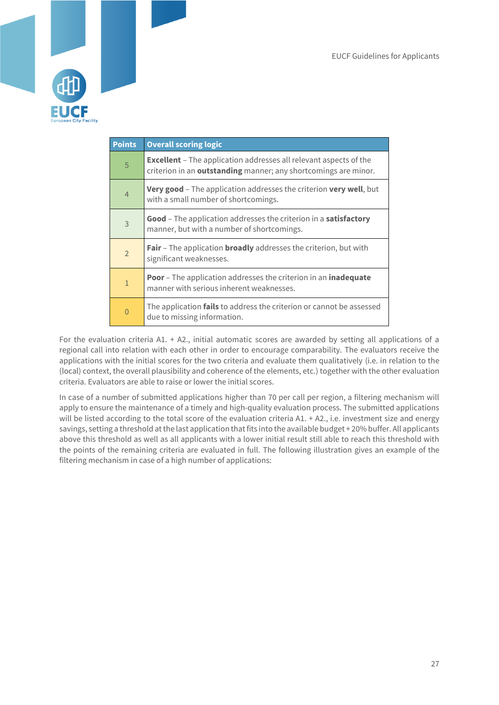

| <b>Points</b>  | <b>Overall scoring logic</b>                                                                                                                |
|----------------|---------------------------------------------------------------------------------------------------------------------------------------------|
| 5              | <b>Excellent</b> - The application addresses all relevant aspects of the<br>criterion in an outstanding manner; any shortcomings are minor. |
| $\overline{4}$ | Very good - The application addresses the criterion very well, but<br>with a small number of shortcomings.                                  |
| 3              | Good - The application addresses the criterion in a satisfactory<br>manner, but with a number of shortcomings.                              |
| $\overline{2}$ | Fair - The application broadly addresses the criterion, but with<br>significant weaknesses.                                                 |
| $\mathbf{1}$   | <b>Poor</b> - The application addresses the criterion in an <b>inadequate</b><br>manner with serious inherent weaknesses.                   |
| $\overline{0}$ | The application <b>fails</b> to address the criterion or cannot be assessed<br>due to missing information.                                  |

For the evaluation criteria A1. + A2., initial automatic scores are awarded by setting all applications of a regional call into relation with each other in order to encourage comparability. The evaluators receive the applications with the initial scores for the two criteria and evaluate them qualitatively (i.e. in relation to the (local) context, the overall plausibility and coherence of the elements, etc.) together with the other evaluation criteria. Evaluators are able to raise or lower the initial scores.

In case of a number of submitted applications higher than 70 per call per region, a filtering mechanism will apply to ensure the maintenance of a timely and high-quality evaluation process. The submitted applications will be listed according to the total score of the evaluation criteria A1. + A2., i.e. investment size and energy savings, setting a threshold at the last application that fits into the available budget + 20% buffer. All applicants above this threshold as well as all applicants with a lower initial result still able to reach this threshold with the points of the remaining criteria are evaluated in full. The following illustration gives an example of the filtering mechanism in case of a high number of applications: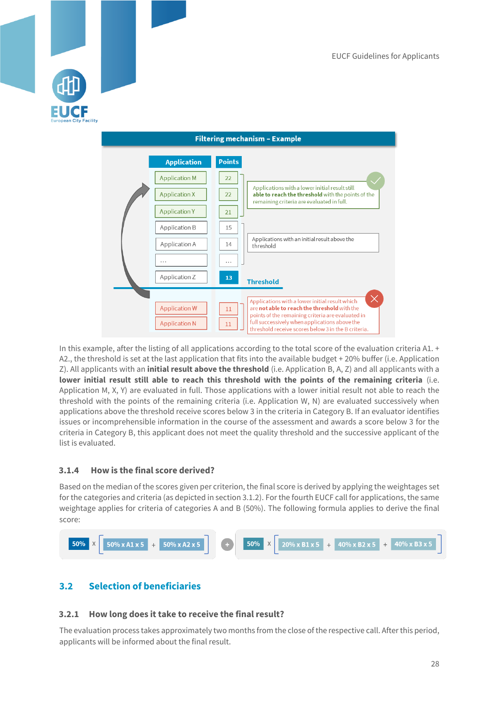



In this example, after the listing of all applications according to the total score of the evaluation criteria A1. + A2., the threshold is set at the last application that fits into the available budget + 20% buffer (i.e. Application Z). All applicants with an **initial result above the threshold** (i.e. Application B, A, Z) and all applicants with a **lower initial result still able to reach this threshold with the points of the remaining criteria** (i.e. Application M, X, Y) are evaluated in full. Those applications with a lower initial result not able to reach the threshold with the points of the remaining criteria (i.e. Application W, N) are evaluated successively when applications above the threshold receive scores below 3 in the criteria in Category B. If an evaluator identifies issues or incomprehensible information in the course of the assessment and awards a score below 3 for the criteria in Category B, this applicant does not meet the quality threshold and the successive applicant of the list is evaluated.

## <span id="page-28-0"></span>**3.1.4 How is the final score derived?**

Based on the median of the scores given per criterion, the final score is derived by applying the weightages set for the categories and criteria (as depicted in section 3.1.2). For the fourth EUCF call for applications, the same weightage applies for criteria of categories A and B (50%). The following formula applies to derive the final score:



## <span id="page-28-1"></span>**3.2 Selection of beneficiaries**

#### <span id="page-28-2"></span>**3.2.1 How long does it take to receive the final result?**

The evaluation process takes approximately two months from the close of the respective call. After this period, applicants will be informed about the final result.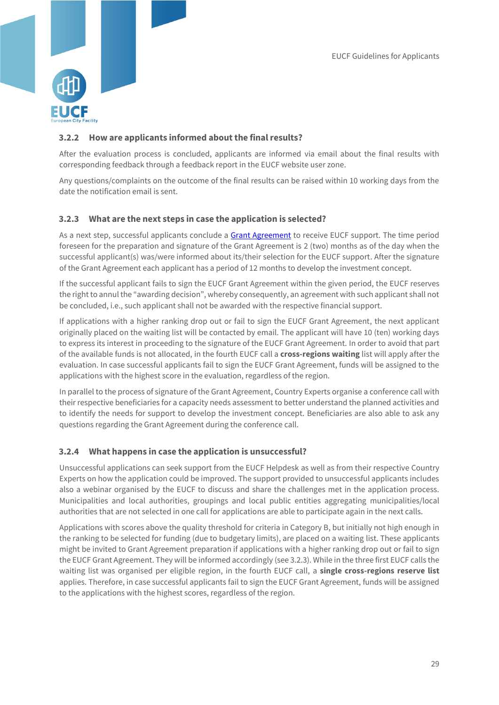

## <span id="page-29-0"></span>**3.2.2 How are applicants informed about the final results?**

After the evaluation process is concluded, applicants are informed via email about the final results with corresponding feedback through a feedback report in the EUCF website user zone.

Any questions/complaints on the outcome of the final results can be raised within 10 working days from the date the notification email is sent.

#### <span id="page-29-1"></span>**3.2.3 What are the next steps in case the application is selected?**

As a next step, successful applicants conclude a [Grant Agreement](https://www.eucityfacility.eu/about/public-documents-and-material.html) to receive EUCF support. The time period foreseen for the preparation and signature of the Grant Agreement is 2 (two) months as of the day when the successful applicant(s) was/were informed about its/their selection for the EUCF support. After the signature of the Grant Agreement each applicant has a period of 12 months to develop the investment concept.

If the successful applicant fails to sign the EUCF Grant Agreement within the given period, the EUCF reserves the right to annul the "awarding decision", whereby consequently, an agreement with such applicant shall not be concluded, i.e., such applicant shall not be awarded with the respective financial support.

If applications with a higher ranking drop out or fail to sign the EUCF Grant Agreement, the next applicant originally placed on the waiting list will be contacted by email. The applicant will have 10 (ten) working days to express its interest in proceeding to the signature of the EUCF Grant Agreement. In order to avoid that part of the available funds is not allocated, in the fourth EUCF call a **cross-regions waiting** list will apply after the evaluation. In case successful applicants fail to sign the EUCF Grant Agreement, funds will be assigned to the applications with the highest score in the evaluation, regardless of the region.

In parallel to the process of signature of the Grant Agreement, Country Experts organise a conference call with their respective beneficiaries for a capacity needs assessment to better understand the planned activities and to identify the needs for support to develop the investment concept. Beneficiaries are also able to ask any questions regarding the Grant Agreement during the conference call.

#### <span id="page-29-2"></span>**3.2.4 What happens in case the application is unsuccessful?**

Unsuccessful applications can seek support from the EUCF Helpdesk as well as from their respective Country Experts on how the application could be improved. The support provided to unsuccessful applicants includes also a webinar organised by the EUCF to discuss and share the challenges met in the application process. Municipalities and local authorities, groupings and local public entities aggregating municipalities/local authorities that are not selected in one call for applications are able to participate again in the next calls.

Applications with scores above the quality threshold for criteria in Category B, but initially not high enough in the ranking to be selected for funding (due to budgetary limits), are placed on a waiting list. These applicants might be invited to Grant Agreement preparation if applications with a higher ranking drop out or fail to sign the EUCF Grant Agreement. They will be informed accordingly (se[e 3.2.3\)](#page-29-1). While in the three first EUCF calls the waiting list was organised per eligible region, in the fourth EUCF call, a **single cross-regions reserve list** applies. Therefore, in case successful applicants fail to sign the EUCF Grant Agreement, funds will be assigned to the applications with the highest scores, regardless of the region.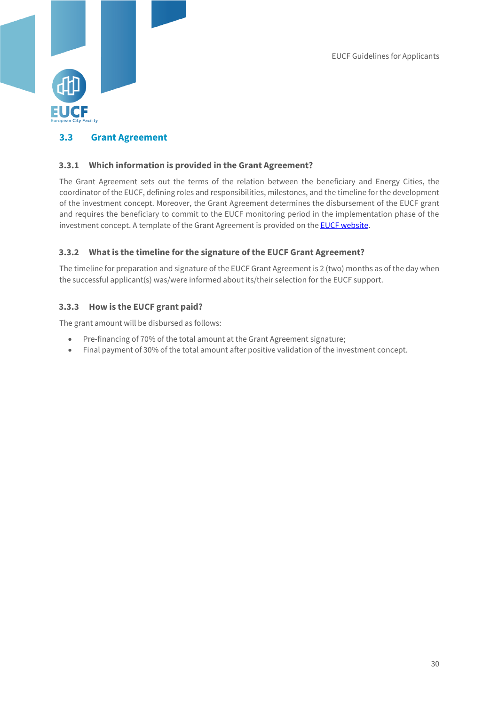

## <span id="page-30-0"></span>**3.3 Grant Agreement**

#### <span id="page-30-1"></span>**3.3.1 Which information is provided in the Grant Agreement?**

The Grant Agreement sets out the terms of the relation between the beneficiary and Energy Cities, the coordinator of the EUCF, defining roles and responsibilities, milestones, and the timeline for the development of the investment concept. Moreover, the Grant Agreement determines the disbursement of the EUCF grant and requires the beneficiary to commit to the EUCF monitoring period in the implementation phase of the investment concept. A template of the Grant Agreement is provided on th[e EUCF website.](https://www.eucityfacility.eu/home.html)

#### <span id="page-30-2"></span>**3.3.2 What is the timeline for the signature of the EUCF Grant Agreement?**

The timeline for preparation and signature of the EUCF Grant Agreement is 2 (two) months as of the day when the successful applicant(s) was/were informed about its/their selection for the EUCF support.

#### <span id="page-30-3"></span>**3.3.3 How is the EUCF grant paid?**

The grant amount will be disbursed as follows:

- Pre-financing of 70% of the total amount at the Grant Agreement signature;
- Final payment of 30% of the total amount after positive validation of the investment concept.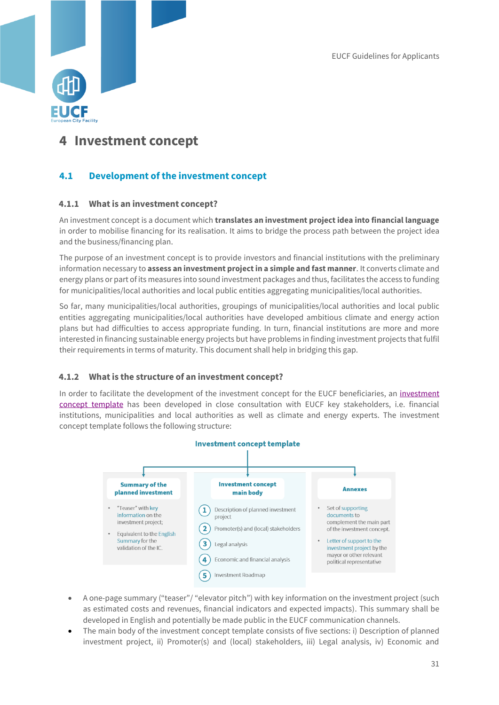

## <span id="page-31-0"></span>**4 Investment concept**

## <span id="page-31-1"></span>**4.1 Development of the investment concept**

#### <span id="page-31-2"></span>**4.1.1 What is an investment concept?**

An investment concept is a document which **translates an investment project idea into financial language** in order to mobilise financing for its realisation. It aims to bridge the process path between the project idea and the business/financing plan.

The purpose of an investment concept is to provide investors and financial institutions with the preliminary information necessary to **assess an investment project in a simple and fast manner**. It converts climate and energy plans or part of its measures into sound investment packages and thus, facilitates the access to funding for municipalities/local authorities and local public entities aggregating municipalities/local authorities.

So far, many municipalities/local authorities, groupings of municipalities/local authorities and local public entities aggregating municipalities/local authorities have developed ambitious climate and energy action plans but had difficulties to access appropriate funding. In turn, financial institutions are more and more interested in financing sustainable energy projects but have problems in finding investment projects that fulfil their requirements in terms of maturity. This document shall help in bridging this gap.

#### <span id="page-31-3"></span>**4.1.2 What is the structure of an investment concept?**

In order to facilitate the development of the [investment](https://www.eucityfacility.eu/investment-concepts/investment-concept-template.html) concept for the EUCF beneficiaries, an investment [concept template](https://www.eucityfacility.eu/investment-concepts/investment-concept-template.html) has been developed in close consultation with EUCF key stakeholders, i.e. financial institutions, municipalities and local authorities as well as climate and energy experts. The investment concept template follows the following structure:



- A one-page summary ("teaser"/ "elevator pitch") with key information on the investment project (such as estimated costs and revenues, financial indicators and expected impacts). This summary shall be developed in English and potentially be made public in the EUCF communication channels.
- The main body of the investment concept template consists of five sections: i) Description of planned investment project, ii) Promoter(s) and (local) stakeholders, iii) Legal analysis, iv) Economic and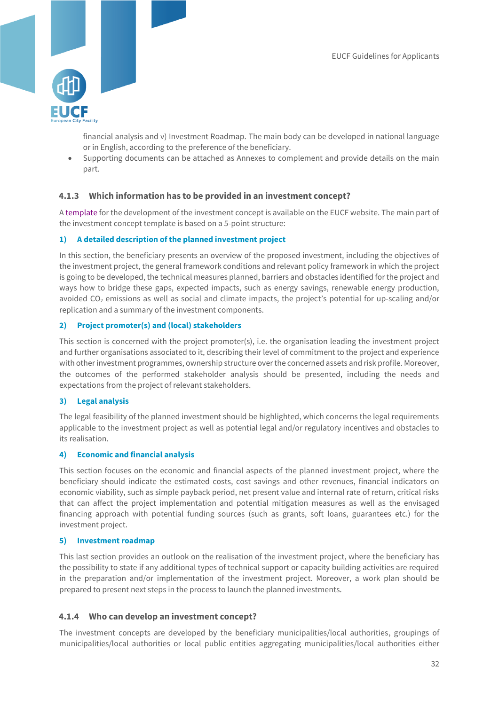

financial analysis and v) Investment Roadmap. The main body can be developed in national language or in English, according to the preference of the beneficiary.

• Supporting documents can be attached as Annexes to complement and provide details on the main part.

#### <span id="page-32-0"></span>**4.1.3 Which information has to be provided in an investment concept?**

[A template](https://www.eucityfacility.eu/investment-concepts/investment-concept-template.html) for the development of the investment concept is available on the EUCF website. The main part of the investment concept template is based on a 5-point structure:

#### **1) A detailed description of the planned investment project**

In this section, the beneficiary presents an overview of the proposed investment, including the objectives of the investment project, the general framework conditions and relevant policy framework in which the project is going to be developed, the technical measures planned, barriers and obstacles identified for the project and ways how to bridge these gaps, expected impacts, such as energy savings, renewable energy production, avoided CO<sub>2</sub> emissions as well as social and climate impacts, the project's potential for up-scaling and/or replication and a summary of the investment components.

#### **2) Project promoter(s) and (local) stakeholders**

This section is concerned with the project promoter(s), i.e. the organisation leading the investment project and further organisations associated to it, describing their level of commitment to the project and experience with other investment programmes, ownership structure over the concerned assets and risk profile. Moreover, the outcomes of the performed stakeholder analysis should be presented, including the needs and expectations from the project of relevant stakeholders.

#### **3) Legal analysis**

The legal feasibility of the planned investment should be highlighted, which concerns the legal requirements applicable to the investment project as well as potential legal and/or regulatory incentives and obstacles to its realisation.

#### **4) Economic and financial analysis**

This section focuses on the economic and financial aspects of the planned investment project, where the beneficiary should indicate the estimated costs, cost savings and other revenues, financial indicators on economic viability, such as simple payback period, net present value and internal rate of return, critical risks that can affect the project implementation and potential mitigation measures as well as the envisaged financing approach with potential funding sources (such as grants, soft loans, guarantees etc.) for the investment project.

#### **5) Investment roadmap**

This last section provides an outlook on the realisation of the investment project, where the beneficiary has the possibility to state if any additional types of technical support or capacity building activities are required in the preparation and/or implementation of the investment project. Moreover, a work plan should be prepared to present next steps in the process to launch the planned investments.

#### <span id="page-32-1"></span>**4.1.4 Who can develop an investment concept?**

The investment concepts are developed by the beneficiary municipalities/local authorities, groupings of municipalities/local authorities or local public entities aggregating municipalities/local authorities either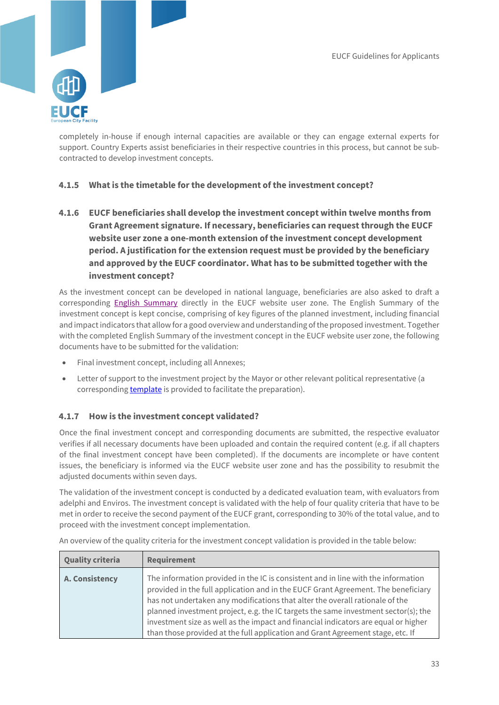

completely in-house if enough internal capacities are available or they can engage external experts for support. Country Experts assist beneficiaries in their respective countries in this process, but cannot be subcontracted to develop investment concepts.

## <span id="page-33-0"></span>**4.1.5 What is the timetable for the development of the investment concept?**

**4.1.6 EUCF beneficiaries shall develop the investment concept within twelve months from Grant Agreement signature. If necessary, beneficiaries can request through the EUCF website user zone a one-month extension of the investment concept development period. A justification for the extension request must be provided by the beneficiary and approved by the EUCF coordinator. What has to be submitted together with the investment concept?**

<span id="page-33-1"></span>As the investment concept can be developed in national language, beneficiaries are also asked to draft a corresponding [English Summary](https://www.eucityfacility.eu/investment-concepts/investment-concept-validation.html) directly in the EUCF website user zone. The English Summary of the investment concept is kept concise, comprising of key figures of the planned investment, including financial and impact indicators that allow for a good overview and understanding of the proposed investment. Together with the completed English Summary of the investment concept in the EUCF website user zone, the following documents have to be submitted for the validation:

- Final investment concept, including all Annexes;
- Letter of support to the investment project by the Mayor or other relevant political representative (a correspondin[g template](https://www.eucityfacility.eu/investment-concepts/investment-concept-template.html) is provided to facilitate the preparation).

## <span id="page-33-2"></span>**4.1.7 How is the investment concept validated?**

Once the final investment concept and corresponding documents are submitted, the respective evaluator verifies if all necessary documents have been uploaded and contain the required content (e.g. if all chapters of the final investment concept have been completed). If the documents are incomplete or have content issues, the beneficiary is informed via the EUCF website user zone and has the possibility to resubmit the adjusted documents within seven days.

The validation of the investment concept is conducted by a dedicated evaluation team, with evaluators from adelphi and Enviros. The investment concept is validated with the help of four quality criteria that have to be met in order to receive the second payment of the EUCF grant, corresponding to 30% of the total value, and to proceed with the investment concept implementation.

| <b>Quality criteria</b>                                                                                    | Requirement |  |  |  |
|------------------------------------------------------------------------------------------------------------|-------------|--|--|--|
| All overview of the quality criteria for the investment concept validation is provided in the table below. |             |  |  |  |

An overview of the quality criteria for the investment concept validation is provided in the table below: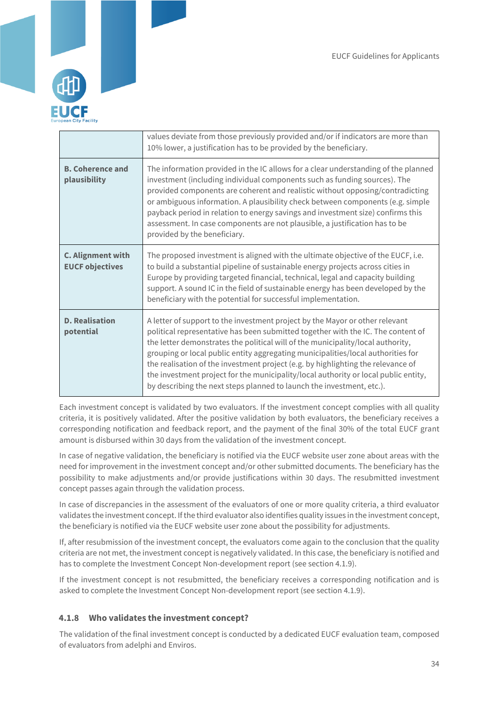

|                                                    | values deviate from those previously provided and/or if indicators are more than<br>10% lower, a justification has to be provided by the beneficiary.                                                                                                                                                                                                                                                                                                                                                                                                                                       |  |
|----------------------------------------------------|---------------------------------------------------------------------------------------------------------------------------------------------------------------------------------------------------------------------------------------------------------------------------------------------------------------------------------------------------------------------------------------------------------------------------------------------------------------------------------------------------------------------------------------------------------------------------------------------|--|
| <b>B. Coherence and</b><br>plausibility            | The information provided in the IC allows for a clear understanding of the planned<br>investment (including individual components such as funding sources). The<br>provided components are coherent and realistic without opposing/contradicting<br>or ambiguous information. A plausibility check between components (e.g. simple<br>payback period in relation to energy savings and investment size) confirms this<br>assessment. In case components are not plausible, a justification has to be<br>provided by the beneficiary.                                                        |  |
| <b>C. Alignment with</b><br><b>EUCF objectives</b> | The proposed investment is aligned with the ultimate objective of the EUCF, i.e.<br>to build a substantial pipeline of sustainable energy projects across cities in<br>Europe by providing targeted financial, technical, legal and capacity building<br>support. A sound IC in the field of sustainable energy has been developed by the<br>beneficiary with the potential for successful implementation.                                                                                                                                                                                  |  |
| <b>D. Realisation</b><br>potential                 | A letter of support to the investment project by the Mayor or other relevant<br>political representative has been submitted together with the IC. The content of<br>the letter demonstrates the political will of the municipality/local authority,<br>grouping or local public entity aggregating municipalities/local authorities for<br>the realisation of the investment project (e.g. by highlighting the relevance of<br>the investment project for the municipality/local authority or local public entity,<br>by describing the next steps planned to launch the investment, etc.). |  |

Each investment concept is validated by two evaluators. If the investment concept complies with all quality criteria, it is positively validated. After the positive validation by both evaluators, the beneficiary receives a corresponding notification and feedback report, and the payment of the final 30% of the total EUCF grant amount is disbursed within 30 days from the validation of the investment concept.

In case of negative validation, the beneficiary is notified via the EUCF website user zone about areas with the need for improvement in the investment concept and/or other submitted documents. The beneficiary has the possibility to make adjustments and/or provide justifications within 30 days. The resubmitted investment concept passes again through the validation process.

In case of discrepancies in the assessment of the evaluators of one or more quality criteria, a third evaluator validates the investment concept. If the third evaluator also identifies quality issues in the investment concept, the beneficiary is notified via the EUCF website user zone about the possibility for adjustments.

If, after resubmission of the investment concept, the evaluators come again to the conclusion that the quality criteria are not met, the investment concept is negatively validated. In this case, the beneficiary is notified and has to complete the Investment Concept Non-development report (see section 4.1.9).

If the investment concept is not resubmitted, the beneficiary receives a corresponding notification and is asked to complete the Investment Concept Non-development report (see section 4.1.9).

## <span id="page-34-0"></span>**4.1.8 Who validates the investment concept?**

The validation of the final investment concept is conducted by a dedicated EUCF evaluation team, composed of evaluators from adelphi and Enviros.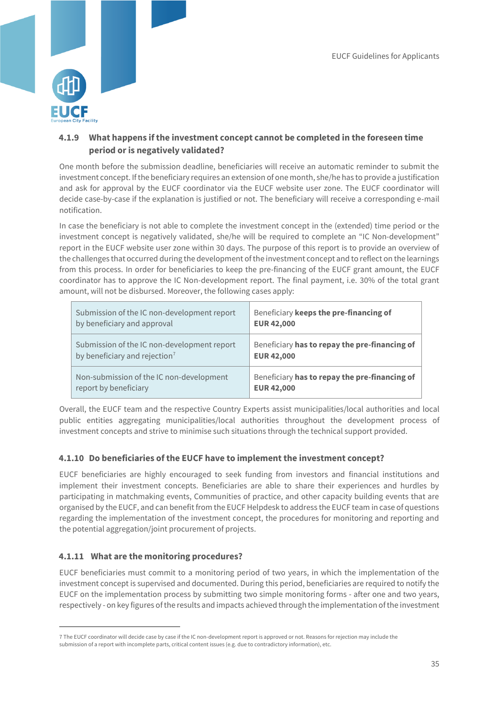

## <span id="page-35-0"></span>**4.1.9 What happens if the investment concept cannot be completed in the foreseen time period or is negatively validated?**

One month before the submission deadline, beneficiaries will receive an automatic reminder to submit the investment concept. If the beneficiary requires an extension of one month, she/he has to provide a justification and ask for approval by the EUCF coordinator via the EUCF website user zone. The EUCF coordinator will decide case-by-case if the explanation is justified or not. The beneficiary will receive a corresponding e-mail notification.

In case the beneficiary is not able to complete the investment concept in the (extended) time period or the investment concept is negatively validated, she/he will be required to complete an "IC Non-development" report in the EUCF website user zone within 30 days. The purpose of this report is to provide an overview of the challenges that occurred during the development of the investment concept and to reflect on the learnings from this process. In order for beneficiaries to keep the pre-financing of the EUCF grant amount, the EUCF coordinator has to approve the IC Non-development report. The final payment, i.e. 30% of the total grant amount, will not be disbursed. Moreover, the following cases apply:

| Submission of the IC non-development report | Beneficiary keeps the pre-financing of        |
|---------------------------------------------|-----------------------------------------------|
| by beneficiary and approval                 | <b>EUR 42,000</b>                             |
| Submission of the IC non-development report | Beneficiary has to repay the pre-financing of |
| by beneficiary and rejection <sup>7</sup>   | <b>EUR 42,000</b>                             |
| Non-submission of the IC non-development    | Beneficiary has to repay the pre-financing of |
| report by beneficiary                       | <b>EUR 42,000</b>                             |

Overall, the EUCF team and the respective Country Experts assist municipalities/local authorities and local public entities aggregating municipalities/local authorities throughout the development process of investment concepts and strive to minimise such situations through the technical support provided.

## <span id="page-35-1"></span>**4.1.10 Do beneficiaries of the EUCF have to implement the investment concept?**

EUCF beneficiaries are highly encouraged to seek funding from investors and financial institutions and implement their investment concepts. Beneficiaries are able to share their experiences and hurdles by participating in matchmaking events, Communities of practice, and other capacity building events that are organised by the EUCF, and can benefit from the EUCF Helpdesk to address the EUCF team in case of questions regarding the implementation of the investment concept, the procedures for monitoring and reporting and the potential aggregation/joint procurement of projects.

## <span id="page-35-2"></span>**4.1.11 What are the monitoring procedures?**

1

EUCF beneficiaries must commit to a monitoring period of two years, in which the implementation of the investment concept is supervised and documented. During this period, beneficiaries are required to notify the EUCF on the implementation process by submitting two simple monitoring forms - after one and two years, respectively - on key figures of the results and impacts achieved through the implementation of the investment

<sup>7</sup> The EUCF coordinator will decide case by case if the IC non-development report is approved or not. Reasons for rejection may include the submission of a report with incomplete parts, critical content issues (e.g. due to contradictory information), etc.